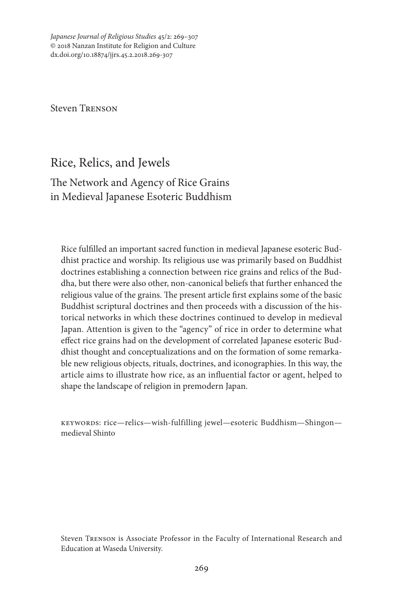*Japanese Journal of Religious Studies* 45/2: 269–307 © 2018 Nanzan Institute for Religion and Culture dx.doi.org/10.18874/jjrs.45.2.2018.269-307

Steven Trenson

# Rice, Relics, and Jewels

# The Network and Agency of Rice Grains in Medieval Japanese Esoteric Buddhism

Rice fulfilled an important sacred function in medieval Japanese esoteric Buddhist practice and worship. Its religious use was primarily based on Buddhist doctrines establishing a connection between rice grains and relics of the Buddha, but there were also other, non-canonical beliefs that further enhanced the religious value of the grains. The present article first explains some of the basic Buddhist scriptural doctrines and then proceeds with a discussion of the historical networks in which these doctrines continued to develop in medieval Japan. Attention is given to the "agency" of rice in order to determine what effect rice grains had on the development of correlated Japanese esoteric Buddhist thought and conceptualizations and on the formation of some remarkable new religious objects, rituals, doctrines, and iconographies. In this way, the article aims to illustrate how rice, as an influential factor or agent, helped to shape the landscape of religion in premodern Japan.

keywords: rice—relics—wish-fulfilling jewel—esoteric Buddhism—Shingon medieval Shinto

Steven Trenson is Associate Professor in the Faculty of International Research and Education at Waseda University.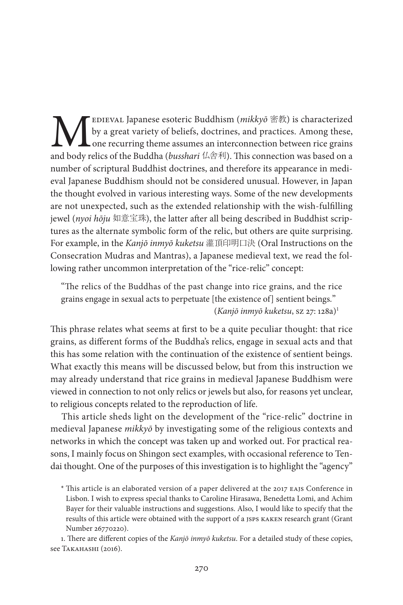**M** EDIEVAL Japanese esoteric Buddhism (*mikkyō* 密教) is characterized by a great variety of beliefs, doctrines, and practices. Among these, one recurring theme assumes an interconnection between rice grains and body relic by a great variety of beliefs, doctrines, and practices. Among these, one recurring theme assumes an interconnection between rice grains and body relics of the Buddha (*busshari* 仏舎利). This connection was based on a number of scriptural Buddhist doctrines, and therefore its appearance in medieval Japanese Buddhism should not be considered unusual. However, in Japan the thought evolved in various interesting ways. Some of the new developments are not unexpected, such as the extended relationship with the wish-fulfilling jewel (*nyoi hōju* 如意宝珠), the latter after all being described in Buddhist scriptures as the alternate symbolic form of the relic, but others are quite surprising. For example, in the *Kanjō inmyō kuketsu* 灌頂印明口決 (Oral Instructions on the Consecration Mudras and Mantras), a Japanese medieval text, we read the following rather uncommon interpretation of the "rice-relic" concept:

"The relics of the Buddhas of the past change into rice grains, and the rice grains engage in sexual acts to perpetuate [the existence of] sentient beings." (*Kanjō inmyō kuketsu*, sz 27: 128a)1

This phrase relates what seems at first to be a quite peculiar thought: that rice grains, as different forms of the Buddha's relics, engage in sexual acts and that this has some relation with the continuation of the existence of sentient beings. What exactly this means will be discussed below, but from this instruction we may already understand that rice grains in medieval Japanese Buddhism were viewed in connection to not only relics or jewels but also, for reasons yet unclear, to religious concepts related to the reproduction of life.

This article sheds light on the development of the "rice-relic" doctrine in medieval Japanese *mikkyō* by investigating some of the religious contexts and networks in which the concept was taken up and worked out. For practical reasons, I mainly focus on Shingon sect examples, with occasional reference to Tendai thought. One of the purposes of this investigation is to highlight the "agency"

1. There are different copies of the *Kanjō inmyō kuketsu*. For a detailed study of these copies, see TAKAHASHI (2016).

<sup>\*</sup> This article is an elaborated version of a paper delivered at the 2017 eajs Conference in Lisbon. I wish to express special thanks to Caroline Hirasawa, Benedetta Lomi, and Achim Bayer for their valuable instructions and suggestions. Also, I would like to specify that the results of this article were obtained with the support of a jsps kaken research grant (Grant Number 26770220).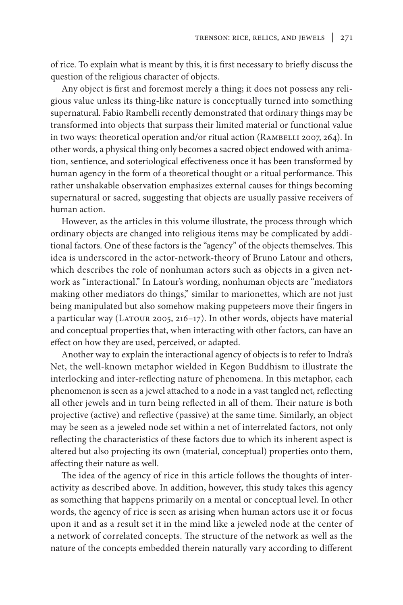of rice. To explain what is meant by this, it is first necessary to briefly discuss the question of the religious character of objects.

Any object is first and foremost merely a thing; it does not possess any religious value unless its thing-like nature is conceptually turned into something supernatural. Fabio Rambelli recently demonstrated that ordinary things may be transformed into objects that surpass their limited material or functional value in two ways: theoretical operation and/or ritual action (RAMBELLI 2007, 264). In other words, a physical thing only becomes a sacred object endowed with animation, sentience, and soteriological effectiveness once it has been transformed by human agency in the form of a theoretical thought or a ritual performance. This rather unshakable observation emphasizes external causes for things becoming supernatural or sacred, suggesting that objects are usually passive receivers of human action.

However, as the articles in this volume illustrate, the process through which ordinary objects are changed into religious items may be complicated by additional factors. One of these factors is the "agency" of the objects themselves. This idea is underscored in the actor-network-theory of Bruno Latour and others, which describes the role of nonhuman actors such as objects in a given network as "interactional." In Latour's wording, nonhuman objects are "mediators making other mediators do things," similar to marionettes, which are not just being manipulated but also somehow making puppeteers move their fingers in a particular way (LATOUR 2005, 216-17). In other words, objects have material and conceptual properties that, when interacting with other factors, can have an effect on how they are used, perceived, or adapted.

Another way to explain the interactional agency of objects is to refer to Indra's Net, the well-known metaphor wielded in Kegon Buddhism to illustrate the interlocking and inter-reflecting nature of phenomena. In this metaphor, each phenomenon is seen as a jewel attached to a node in a vast tangled net, reflecting all other jewels and in turn being reflected in all of them. Their nature is both projective (active) and reflective (passive) at the same time. Similarly, an object may be seen as a jeweled node set within a net of interrelated factors, not only reflecting the characteristics of these factors due to which its inherent aspect is altered but also projecting its own (material, conceptual) properties onto them, affecting their nature as well.

The idea of the agency of rice in this article follows the thoughts of interactivity as described above. In addition, however, this study takes this agency as something that happens primarily on a mental or conceptual level. In other words, the agency of rice is seen as arising when human actors use it or focus upon it and as a result set it in the mind like a jeweled node at the center of a network of correlated concepts. The structure of the network as well as the nature of the concepts embedded therein naturally vary according to different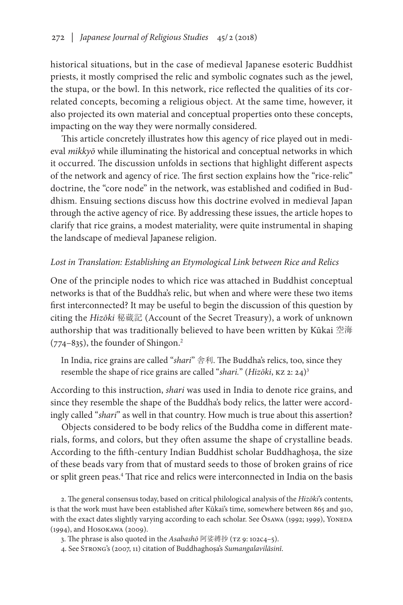historical situations, but in the case of medieval Japanese esoteric Buddhist priests, it mostly comprised the relic and symbolic cognates such as the jewel, the stupa, or the bowl. In this network, rice reflected the qualities of its correlated concepts, becoming a religious object. At the same time, however, it also projected its own material and conceptual properties onto these concepts, impacting on the way they were normally considered.

This article concretely illustrates how this agency of rice played out in medieval *mikkyō* while illuminating the historical and conceptual networks in which it occurred. The discussion unfolds in sections that highlight different aspects of the network and agency of rice. The first section explains how the "rice-relic" doctrine, the "core node" in the network, was established and codified in Buddhism. Ensuing sections discuss how this doctrine evolved in medieval Japan through the active agency of rice. By addressing these issues, the article hopes to clarify that rice grains, a modest materiality, were quite instrumental in shaping the landscape of medieval Japanese religion.

## *Lost in Translation: Establishing an Etymological Link between Rice and Relics*

One of the principle nodes to which rice was attached in Buddhist conceptual networks is that of the Buddha's relic, but when and where were these two items first interconnected? It may be useful to begin the discussion of this question by citing the *Hizōki* 秘蔵記 (Account of the Secret Treasury), a work of unknown authorship that was traditionally believed to have been written by Kūkai 空海  $(774-835)$ , the founder of Shingon.<sup>2</sup>

In India, rice grains are called "*shari*" 舎利. The Buddha's relics, too, since they resemble the shape of rice grains are called "*shari.*" (*Hizōki*, kz 2: 24)3

According to this instruction, *shari* was used in India to denote rice grains, and since they resemble the shape of the Buddha's body relics, the latter were accordingly called "*shari*" as well in that country. How much is true about this assertion?

Objects considered to be body relics of the Buddha come in different materials, forms, and colors, but they often assume the shape of crystalline beads. According to the fifth-century Indian Buddhist scholar Buddhaghoṣa, the size of these beads vary from that of mustard seeds to those of broken grains of rice or split green peas.<sup>4</sup> That rice and relics were interconnected in India on the basis

2. The general consensus today, based on critical philological analysis of the *Hizōki*'s contents, is that the work must have been established after Kūkai's time, somewhere between 865 and 910, with the exact dates slightly varying according to each scholar. See Ōsawa (1992; 1999), Yoneda (1994), and Hosokawa (2009).

3. The phrase is also quoted in the *Asabashō* 阿娑縛抄 (TZ 9: 102c4-5).

4. See Strong's (2007, 11) citation of Buddhaghoṣa's *Sumangalavilāsinī*.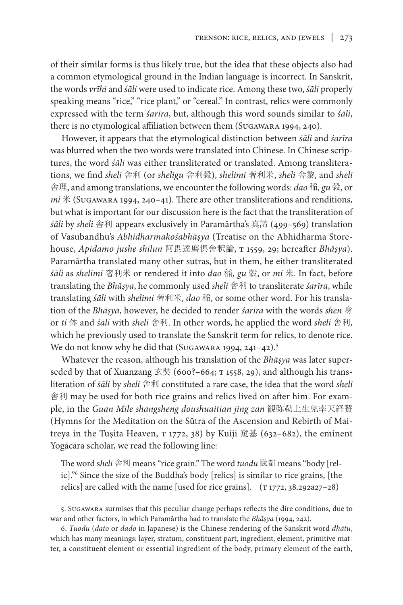of their similar forms is thus likely true, but the idea that these objects also had a common etymological ground in the Indian language is incorrect. In Sanskrit, the words *vrīhi* and *śāli* were used to indicate rice. Among these two, *śāli* properly speaking means "rice," "rice plant," or "cereal." In contrast, relics were commonly expressed with the term *śarīra*, but, although this word sounds similar to *śāli*, there is no etymological affiliation between them (Sugawara 1994, 240).

However, it appears that the etymological distinction between *śāli* and *śarīra* was blurred when the two words were translated into Chinese. In Chinese scriptures, the word *śāli* was either transliterated or translated. Among transliterations, we find *sheli* 舎利 (or *sheligu* 舎利穀), *shelimi* 奢利米, *sheli* 舎黎, and *sheli* 舎理, and among translations, we encounter the following words: *dao* 稲, *gu* 穀, or *mi* 米 (Sugawara 1994, 240–41). There are other transliterations and renditions, but what is important for our discussion here is the fact that the transliteration of *śāli* by *sheli* 舎利 appears exclusively in Paramārtha's 真諦 (499–569) translation of Vasubandhu's *Abhidharmakośabhāṣya* (Treatise on the Abhidharma Storehouse, *Apidamo jushe shilun* 阿毘達磨倶舍釈論, t 1559, 29; hereafter *Bhāṣya*). Paramārtha translated many other sutras, but in them, he either transliterated *śāli* as *shelimi* 奢利米 or rendered it into *dao* 稲, *gu* 穀, or *mi* 米. In fact, before translating the *Bhāṣya*, he commonly used *sheli* 舎利 to transliterate *śarīra*, while translating *śāli* with *shelimi* 奢利米, *dao* 稲, or some other word. For his translation of the *Bhāṣya*, however, he decided to render *śarīra* with the words *shen* 身 or *ti* 体 and *śāli* with *sheli* 舎利. In other words, he applied the word *sheli* 舎利, which he previously used to translate the Sanskrit term for relics, to denote rice. We do not know why he did that (SUGAWARA 1994, 241-42).<sup>5</sup>

Whatever the reason, although his translation of the *Bhāṣya* was later superseded by that of Xuanzang 玄奘 (600?–664; T 1558, 29), and although his transliteration of *śāli* by *sheli* 舎利 constituted a rare case, the idea that the word *sheli* 舎利 may be used for both rice grains and relics lived on after him. For example, in the *Guan Mile shangsheng doushuaitian jing zan* 観弥勒上生兜率天経賛 (Hymns for the Meditation on the Sūtra of the Ascension and Rebirth of Maitreya in the Tuṣita Heaven,  $\tau$  1772, 38) by Kuiji 窺基 (632–682), the eminent Yogācāra scholar, we read the following line:

The word s*heli* 舎利 means "rice grain." The word *tuodu* 駄都 means "body [relic]."6 Since the size of the Buddha's body [relics] is similar to rice grains, [the relics] are called with the name [used for rice grains].  $(T1772, 38.292a27-28)$ 

5. Sugawara surmises that this peculiar change perhaps reflects the dire conditions, due to war and other factors, in which Paramārtha had to translate the *Bhāṣya* (1994, 242).

6. *Tuodu* (*dato* or *dado* in Japanese) is the Chinese rendering of the Sanskrit word *dhātu*, which has many meanings: layer, stratum, constituent part, ingredient, element, primitive matter, a constituent element or essential ingredient of the body, primary element of the earth,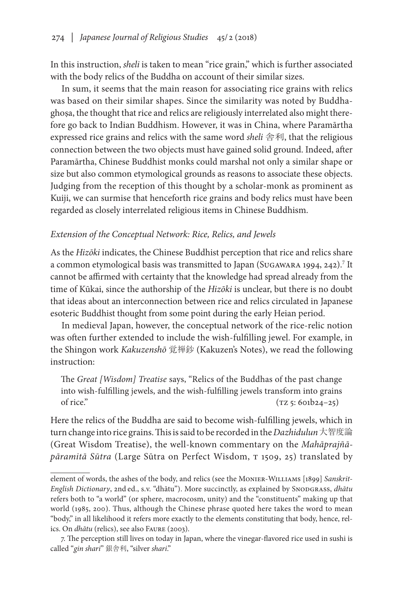In this instruction, *sheli* is taken to mean "rice grain," which is further associated with the body relics of the Buddha on account of their similar sizes.

In sum, it seems that the main reason for associating rice grains with relics was based on their similar shapes. Since the similarity was noted by Buddhaghoṣa, the thought that rice and relics are religiously interrelated also might therefore go back to Indian Buddhism. However, it was in China, where Paramārtha expressed rice grains and relics with the same word *sheli* 舎利, that the religious connection between the two objects must have gained solid ground. Indeed, after Paramārtha, Chinese Buddhist monks could marshal not only a similar shape or size but also common etymological grounds as reasons to associate these objects. Judging from the reception of this thought by a scholar-monk as prominent as Kuiji, we can surmise that henceforth rice grains and body relics must have been regarded as closely interrelated religious items in Chinese Buddhism.

## *Extension of the Conceptual Network: Rice, Relics, and Jewels*

As the *Hizōki* indicates, the Chinese Buddhist perception that rice and relics share a common etymological basis was transmitted to Japan (SuGAWARA 1994, 242).<sup>7</sup> It cannot be affirmed with certainty that the knowledge had spread already from the time of Kūkai, since the authorship of the *Hizōki* is unclear, but there is no doubt that ideas about an interconnection between rice and relics circulated in Japanese esoteric Buddhist thought from some point during the early Heian period.

In medieval Japan, however, the conceptual network of the rice-relic notion was often further extended to include the wish-fulfilling jewel. For example, in the Shingon work *Kakuzenshō* 覚禅鈔 (Kakuzen's Notes), we read the following instruction:

The *Great [Wisdom] Treatise* says, "Relics of the Buddhas of the past change into wish-fulfilling jewels, and the wish-fulfilling jewels transform into grains of rice."  $(TZ 5: 601b24-25)$ 

Here the relics of the Buddha are said to become wish-fulfilling jewels, which in turn change into rice grains. This is said to be recorded in the *Dazhidulun*大智度論 (Great Wisdom Treatise), the well-known commentary on the *Mahāprajñā*pāramitā Sūtra (Large Sūtra on Perfect Wisdom, T 1509, 25) translated by

element of words, the ashes of the body, and relics (see the Monier-Williams [1899] *Sanskrit-English Dictionary*, 2nd ed., s.v. "dhātu"). More succinctly, as explained by Snodgrass, *dhātu*  refers both to "a world" (or sphere, macrocosm, unity) and the "constituents" making up that world (1985, 200). Thus, although the Chinese phrase quoted here takes the word to mean "body," in all likelihood it refers more exactly to the elements constituting that body, hence, relics. On *dhātu* (relics), see also Faure (2003).

<sup>7.</sup> The perception still lives on today in Japan, where the vinegar-flavored rice used in sushi is called "*gin shari*" 銀舎利, "silver *shari*."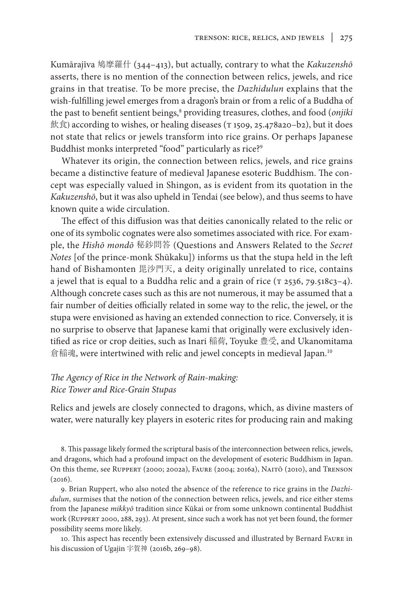Kumārajīva 鳩摩羅什 (344–413), but actually, contrary to what the *Kakuzenshō* asserts, there is no mention of the connection between relics, jewels, and rice grains in that treatise. To be more precise, the *Dazhidulun* explains that the wish-fulfilling jewel emerges from a dragon's brain or from a relic of a Buddha of the past to benefit sentient beings,<sup>8</sup> providing treasures, clothes, and food (onjiki  $f(x)$  according to wishes, or healing diseases ( $\tau$  1509, 25.478a20-b2), but it does not state that relics or jewels transform into rice grains. Or perhaps Japanese Buddhist monks interpreted "food" particularly as rice?<sup>9</sup>

Whatever its origin, the connection between relics, jewels, and rice grains became a distinctive feature of medieval Japanese esoteric Buddhism. The concept was especially valued in Shingon, as is evident from its quotation in the *Kakuzenshō*, but it was also upheld in Tendai (see below), and thus seems to have known quite a wide circulation.

The effect of this diffusion was that deities canonically related to the relic or one of its symbolic cognates were also sometimes associated with rice. For example, the *Hishō mondō* 秘鈔問答 (Questions and Answers Related to the *Secret Notes* [of the prince-monk Shūkaku]) informs us that the stupa held in the left hand of Bishamonten 毘沙門天, a deity originally unrelated to rice, contains a jewel that is equal to a Buddha relic and a grain of rice  $(T 2536, 79.518c3-4)$ . Although concrete cases such as this are not numerous, it may be assumed that a fair number of deities officially related in some way to the relic, the jewel, or the stupa were envisioned as having an extended connection to rice. Conversely, it is no surprise to observe that Japanese kami that originally were exclusively identified as rice or crop deities, such as Inari 稲荷, Toyuke 豊受, and Ukanomitama 倉稲魂, were intertwined with relic and jewel concepts in medieval Japan.<sup>10</sup>

# *The Agency of Rice in the Network of Rain-making: Rice Tower and Rice-Grain Stupas*

Relics and jewels are closely connected to dragons, which, as divine masters of water, were naturally key players in esoteric rites for producing rain and making

8. This passage likely formed the scriptural basis of the interconnection between relics, jewels, and dragons, which had a profound impact on the development of esoteric Buddhism in Japan. On this theme, see Ruppert (2000; 2002a), Faure (2004; 2016a), Naitō (2010), and Trenson  $(2016).$ 

9. Brian Ruppert, who also noted the absence of the reference to rice grains in the *Dazhidulun*, surmises that the notion of the connection between relics, jewels, and rice either stems from the Japanese *mikkyō* tradition since Kūkai or from some unknown continental Buddhist work (Ruppert 2000, 288, 293). At present, since such a work has not yet been found, the former possibility seems more likely.

10. This aspect has recently been extensively discussed and illustrated by Bernard Faure in his discussion of Ugajin 宇賀神 (2016b, 269–98).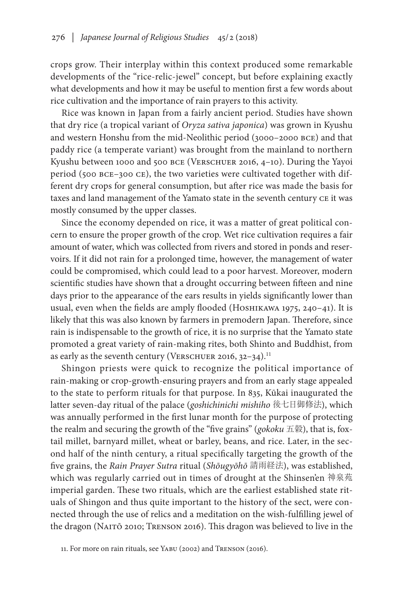crops grow. Their interplay within this context produced some remarkable developments of the "rice-relic-jewel" concept, but before explaining exactly what developments and how it may be useful to mention first a few words about rice cultivation and the importance of rain prayers to this activity.

Rice was known in Japan from a fairly ancient period. Studies have shown that dry rice (a tropical variant of *Oryza sativa japonica*) was grown in Kyushu and western Honshu from the mid-Neolithic period (3000–2000 bce) and that paddy rice (a temperate variant) was brought from the mainland to northern Kyushu between 1000 and 500 BCE (VERSCHUER 2016, 4-10). During the Yayoi period (500 bce–300 ce), the two varieties were cultivated together with different dry crops for general consumption, but after rice was made the basis for taxes and land management of the Yamato state in the seventh century ce it was mostly consumed by the upper classes.

Since the economy depended on rice, it was a matter of great political concern to ensure the proper growth of the crop. Wet rice cultivation requires a fair amount of water, which was collected from rivers and stored in ponds and reservoirs. If it did not rain for a prolonged time, however, the management of water could be compromised, which could lead to a poor harvest. Moreover, modern scientific studies have shown that a drought occurring between fifteen and nine days prior to the appearance of the ears results in yields significantly lower than usual, even when the fields are amply flooded (HOSHIKAWA 1975, 240-41). It is likely that this was also known by farmers in premodern Japan. Therefore, since rain is indispensable to the growth of rice, it is no surprise that the Yamato state promoted a great variety of rain-making rites, both Shinto and Buddhist, from as early as the seventh century (VERSCHUER 2016,  $32-34$ ).<sup>11</sup>

Shingon priests were quick to recognize the political importance of rain-making or crop-growth-ensuring prayers and from an early stage appealed to the state to perform rituals for that purpose. In 835, Kūkai inaugurated the latter seven-day ritual of the palace (*goshichinichi mishiho* 後七日御修法), which was annually performed in the first lunar month for the purpose of protecting the realm and securing the growth of the "five grains" (*gokoku* 五穀), that is, foxtail millet, barnyard millet, wheat or barley, beans, and rice. Later, in the second half of the ninth century, a ritual specifically targeting the growth of the five grains, the *Rain Prayer Sutra* ritual (*Shōugyōhō* 請雨経法), was established, which was regularly carried out in times of drought at the Shinsen'en 神泉苑 imperial garden. These two rituals, which are the earliest established state rituals of Shingon and thus quite important to the history of the sect, were connected through the use of relics and a meditation on the wish-fulfilling jewel of the dragon (Naitō 2010; Trenson 2016). This dragon was believed to live in the

<sup>11.</sup> For more on rain rituals, see Yabu (2002) and Trenson (2016).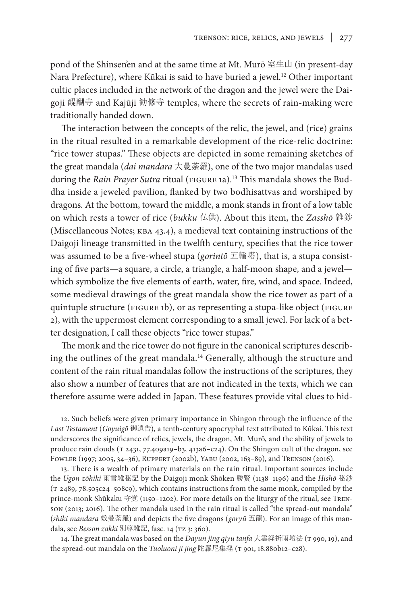pond of the Shinsen'en and at the same time at Mt. Murō 室生山 (in present-day Nara Prefecture), where Kūkai is said to have buried a jewel.<sup>12</sup> Other important cultic places included in the network of the dragon and the jewel were the Daigoji 醍醐寺 and Kajūji 勧修寺 temples, where the secrets of rain-making were traditionally handed down.

The interaction between the concepts of the relic, the jewel, and (rice) grains in the ritual resulted in a remarkable development of the rice-relic doctrine: "rice tower stupas." These objects are depicted in some remaining sketches of the great mandala (*dai mandara* 大曼荼羅), one of the two major mandalas used during the *Rain Prayer Sutra* ritual (FIGURE 1a).<sup>13</sup> This mandala shows the Buddha inside a jeweled pavilion, flanked by two bodhisattvas and worshiped by dragons. At the bottom, toward the middle, a monk stands in front of a low table on which rests a tower of rice (*bukku* 仏供). About this item, the *Zasshō* 雑鈔 (Miscellaneous Notes; kba 43.4), a medieval text containing instructions of the Daigoji lineage transmitted in the twelfth century, specifies that the rice tower was assumed to be a five-wheel stupa (*gorintō* 五輪塔), that is, a stupa consisting of five parts—a square, a circle, a triangle, a half-moon shape, and a jewel which symbolize the five elements of earth, water, fire, wind, and space. Indeed, some medieval drawings of the great mandala show the rice tower as part of a quintuple structure (FIGURE 1b), or as representing a stupa-like object (FIGURE 2), with the uppermost element corresponding to a small jewel. For lack of a better designation, I call these objects "rice tower stupas."

The monk and the rice tower do not figure in the canonical scriptures describing the outlines of the great mandala.14 Generally, although the structure and content of the rain ritual mandalas follow the instructions of the scriptures, they also show a number of features that are not indicated in the texts, which we can therefore assume were added in Japan. These features provide vital clues to hid-

12. Such beliefs were given primary importance in Shingon through the influence of the *Last Testament* (*Goyuigō* 御遺告), a tenth-century apocryphal text attributed to Kūkai. This text underscores the significance of relics, jewels, the dragon, Mt. Murō, and the ability of jewels to produce rain clouds (T 2431, 77.409a19-b3, 413a6-c24). On the Shingon cult of the dragon, see Fowler (1997; 2005, 34–36), Ruppert (2002b), Yabu (2002, 163–89), and Trenson (2016).

13. There is a wealth of primary materials on the rain ritual. Important sources include the *Ugon zōhiki* 雨言雑秘記 by the Daigoji monk Shōken 勝賢 (1138–1196) and the *Hishō* 秘鈔 (t 2489, 78.505c24–508c9), which contains instructions from the same monk, compiled by the prince-monk Shūkaku 守覚 (1150–1202). For more details on the liturgy of the ritual, see Trenson (2013; 2016). The other mandala used in the rain ritual is called "the spread-out mandala" (*shiki mandara* 敷曼荼羅) and depicts the five dragons (*goryū* 五龍). For an image of this mandala, see *Besson zakki* 別尊雑記, fasc. 14 (tz 3: 360).

14. The great mandala was based on the *Dayun jing qiyu tanfa* 大雲経祈雨壇法 (T 990, 19), and the spread-out mandala on the *Tuoluoni ji jing* 陀羅尼集経 (T 901, 18.880b12-c28).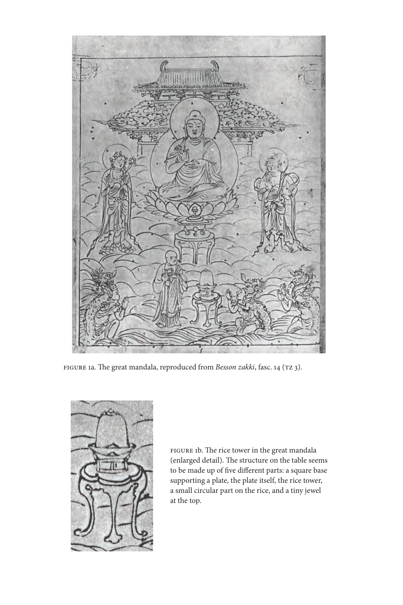

figure 1a. The great mandala, reproduced from *Besson zakki*, fasc. 14 (tz 3).



FIGURE 1b. The rice tower in the great mandala (enlarged detail). The structure on the table seems to be made up of five different parts: a square base supporting a plate, the plate itself, the rice tower, a small circular part on the rice, and a tiny jewel at the top.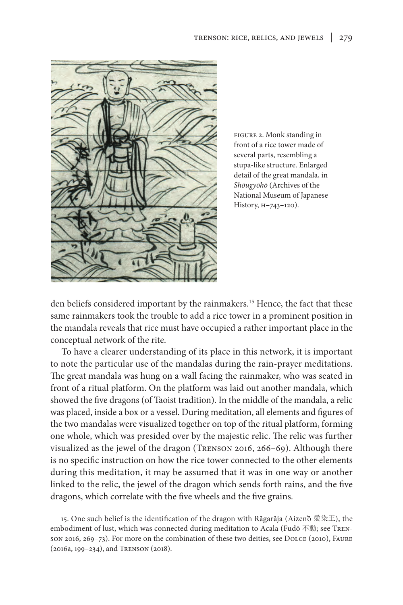

figure 2. Monk standing in front of a rice tower made of several parts, resembling a stupa-like structure. Enlarged detail of the great mandala, in *Shōugyōhō* (Archives of the National Museum of Japanese History, H–743–120).

den beliefs considered important by the rainmakers.15 Hence, the fact that these same rainmakers took the trouble to add a rice tower in a prominent position in the mandala reveals that rice must have occupied a rather important place in the conceptual network of the rite.

To have a clearer understanding of its place in this network, it is important to note the particular use of the mandalas during the rain-prayer meditations. The great mandala was hung on a wall facing the rainmaker, who was seated in front of a ritual platform. On the platform was laid out another mandala, which showed the five dragons (of Taoist tradition). In the middle of the mandala, a relic was placed, inside a box or a vessel. During meditation, all elements and figures of the two mandalas were visualized together on top of the ritual platform, forming one whole, which was presided over by the majestic relic. The relic was further visualized as the jewel of the dragon (Trenson 2016, 266–69). Although there is no specific instruction on how the rice tower connected to the other elements during this meditation, it may be assumed that it was in one way or another linked to the relic, the jewel of the dragon which sends forth rains, and the five dragons, which correlate with the five wheels and the five grains.

15. One such belief is the identification of the dragon with Rāgarāja (Aizen'ō 愛染王), the embodiment of lust, which was connected during meditation to Acala (Fudō 不動; see Trenson 2016, 269–73). For more on the combination of these two deities, see Dolce (2010), Faure (2016a, 199–234), and Trenson (2018).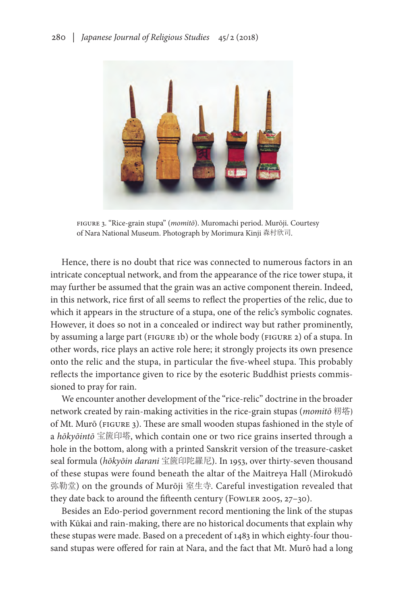

figure 3. "Rice-grain stupa" (*momitō*). Muromachi period. Murōji. Courtesy of Nara National Museum. Photograph by Morimura Kinji 森村欣司.

Hence, there is no doubt that rice was connected to numerous factors in an intricate conceptual network, and from the appearance of the rice tower stupa, it may further be assumed that the grain was an active component therein. Indeed, in this network, rice first of all seems to reflect the properties of the relic, due to which it appears in the structure of a stupa, one of the relic's symbolic cognates. However, it does so not in a concealed or indirect way but rather prominently, by assuming a large part (FIGURE 1b) or the whole body (FIGURE 2) of a stupa. In other words, rice plays an active role here; it strongly projects its own presence onto the relic and the stupa, in particular the five-wheel stupa. This probably reflects the importance given to rice by the esoteric Buddhist priests commissioned to pray for rain.

We encounter another development of the "rice-relic" doctrine in the broader network created by rain-making activities in the rice-grain stupas (*momitō* 籾塔) of Mt. Murō (figure 3). These are small wooden stupas fashioned in the style of a *hōkyōintō* 宝篋印塔, which contain one or two rice grains inserted through a hole in the bottom, along with a printed Sanskrit version of the treasure-casket seal formula (*hōkyōin darani* 宝篋印陀羅尼). In 1953, over thirty-seven thousand of these stupas were found beneath the altar of the Maitreya Hall (Mirokudō 弥勒堂) on the grounds of Murōji 室生寺. Careful investigation revealed that they date back to around the fifteenth century (FOWLER 2005, 27-30).

Besides an Edo-period government record mentioning the link of the stupas with Kūkai and rain-making, there are no historical documents that explain why these stupas were made. Based on a precedent of 1483 in which eighty-four thousand stupas were offered for rain at Nara, and the fact that Mt. Murō had a long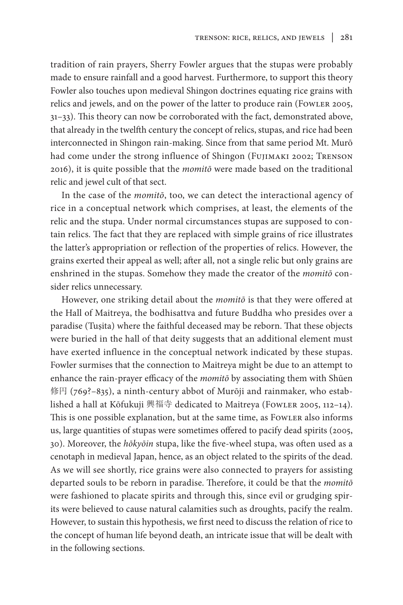tradition of rain prayers, Sherry Fowler argues that the stupas were probably made to ensure rainfall and a good harvest. Furthermore, to support this theory Fowler also touches upon medieval Shingon doctrines equating rice grains with relics and jewels, and on the power of the latter to produce rain (FowLER 2005, 31–33). This theory can now be corroborated with the fact, demonstrated above, that already in the twelfth century the concept of relics, stupas, and rice had been interconnected in Shingon rain-making. Since from that same period Mt. Murō had come under the strong influence of Shingon (Fujimaki 2002; Trenson 2016), it is quite possible that the *momitō* were made based on the traditional relic and jewel cult of that sect.

In the case of the *momitō*, too, we can detect the interactional agency of rice in a conceptual network which comprises, at least, the elements of the relic and the stupa. Under normal circumstances stupas are supposed to contain relics. The fact that they are replaced with simple grains of rice illustrates the latter's appropriation or reflection of the properties of relics. However, the grains exerted their appeal as well; after all, not a single relic but only grains are enshrined in the stupas. Somehow they made the creator of the *momitō* consider relics unnecessary.

However, one striking detail about the *momitō* is that they were offered at the Hall of Maitreya, the bodhisattva and future Buddha who presides over a paradise (Tuṣita) where the faithful deceased may be reborn. That these objects were buried in the hall of that deity suggests that an additional element must have exerted influence in the conceptual network indicated by these stupas. Fowler surmises that the connection to Maitreya might be due to an attempt to enhance the rain-prayer efficacy of the *momitō* by associating them with Shūen 修円 (769?–835), a ninth-century abbot of Murōji and rainmaker, who established a hall at Kōfukuji 興福寺 dedicated to Maitreya (Fowler 2005, 112–14). This is one possible explanation, but at the same time, as FowLER also informs us, large quantities of stupas were sometimes offered to pacify dead spirits (2005, 30). Moreover, the *hōkyōin* stupa, like the five-wheel stupa, was often used as a cenotaph in medieval Japan, hence, as an object related to the spirits of the dead. As we will see shortly, rice grains were also connected to prayers for assisting departed souls to be reborn in paradise. Therefore, it could be that the *momitō* were fashioned to placate spirits and through this, since evil or grudging spirits were believed to cause natural calamities such as droughts, pacify the realm. However, to sustain this hypothesis, we first need to discuss the relation of rice to the concept of human life beyond death, an intricate issue that will be dealt with in the following sections.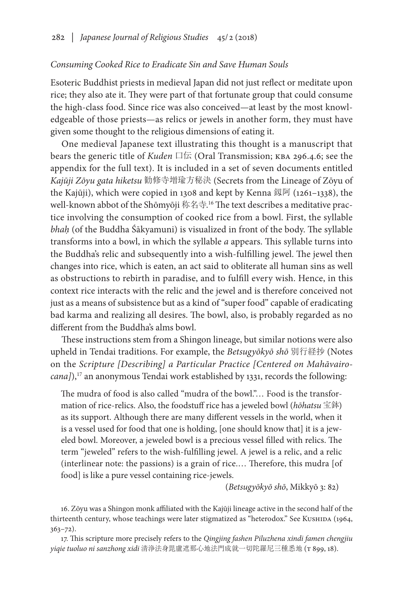## *Consuming Cooked Rice to Eradicate Sin and Save Human Souls*

Esoteric Buddhist priests in medieval Japan did not just reflect or meditate upon rice; they also ate it. They were part of that fortunate group that could consume the high-class food. Since rice was also conceived—at least by the most knowledgeable of those priests—as relics or jewels in another form, they must have given some thought to the religious dimensions of eating it.

One medieval Japanese text illustrating this thought is a manuscript that bears the generic title of *Kuden* 口伝 (Oral Transmission; kba 296.4.6; see the appendix for the full text). It is included in a set of seven documents entitled *Kajūji Zōyu gata hiketsu* 勧修寺増瑜方秘決 (Secrets from the Lineage of Zōyu of the Kajūji), which were copied in 1308 and kept by Kenna 釼阿 (1261–1338), the well-known abbot of the Shōmyōji 称名寺. 16 The text describes a meditative practice involving the consumption of cooked rice from a bowl. First, the syllable *bhaḥ* (of the Buddha Śākyamuni) is visualized in front of the body. The syllable transforms into a bowl, in which the syllable *a* appears. This syllable turns into the Buddha's relic and subsequently into a wish-fulfilling jewel. The jewel then changes into rice, which is eaten, an act said to obliterate all human sins as well as obstructions to rebirth in paradise, and to fulfill every wish. Hence, in this context rice interacts with the relic and the jewel and is therefore conceived not just as a means of subsistence but as a kind of "super food" capable of eradicating bad karma and realizing all desires. The bowl, also, is probably regarded as no different from the Buddha's alms bowl.

These instructions stem from a Shingon lineage, but similar notions were also upheld in Tendai traditions. For example, the *Betsugyōkyō shō* 別行経抄 (Notes on the *Scripture [Describing] a Particular Practice [Centered on Mahāvairocana]*),<sup>17</sup> an anonymous Tendai work established by 1331, records the following:

The mudra of food is also called "mudra of the bowl."… Food is the transformation of rice-relics. Also, the foodstuff rice has a jeweled bowl (*hōhatsu* 宝鉢) as its support. Although there are many different vessels in the world, when it is a vessel used for food that one is holding, [one should know that] it is a jeweled bowl. Moreover, a jeweled bowl is a precious vessel filled with relics. The term "jeweled" refers to the wish-fulfilling jewel. A jewel is a relic, and a relic (interlinear note: the passions) is a grain of rice.… Therefore, this mudra [of food] is like a pure vessel containing rice-jewels.

(*Betsugyōkyō shō*, Mikkyō 3: 82)

16. Zōyu was a Shingon monk affiliated with the Kajūji lineage active in the second half of the thirteenth century, whose teachings were later stigmatized as "heterodox." See KUSHIDA (1964, 363–72).

17. This scripture more precisely refers to the *Qingjing fashen Piluzhena xindi famen chengjiu yiqie tuoluo ni sanzhong xidi* 清浄法身毘盧遮那心地法門成就一切陀羅尼三種悉地 (t 899, 18).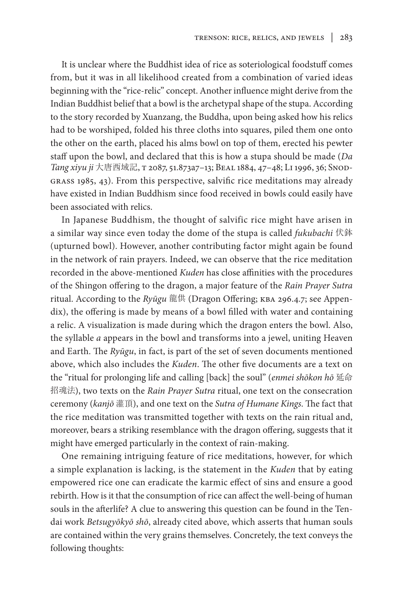It is unclear where the Buddhist idea of rice as soteriological foodstuff comes from, but it was in all likelihood created from a combination of varied ideas beginning with the "rice-relic" concept. Another influence might derive from the Indian Buddhist belief that a bowl is the archetypal shape of the stupa. According to the story recorded by Xuanzang, the Buddha, upon being asked how his relics had to be worshiped, folded his three cloths into squares, piled them one onto the other on the earth, placed his alms bowl on top of them, erected his pewter staff upon the bowl, and declared that this is how a stupa should be made (*Da Tang xiyu ji* 大唐西域記, t 2087, 51.873a7–13; Beal 1884, 47–48; Li 1996, 36; Snodgrass 1985, 43). From this perspective, salvific rice meditations may already have existed in Indian Buddhism since food received in bowls could easily have been associated with relics.

In Japanese Buddhism, the thought of salvific rice might have arisen in a similar way since even today the dome of the stupa is called *fukubachi* 伏鉢 (upturned bowl). However, another contributing factor might again be found in the network of rain prayers. Indeed, we can observe that the rice meditation recorded in the above-mentioned *Kuden* has close affinities with the procedures of the Shingon offering to the dragon, a major feature of the *Rain Prayer Sutra* ritual. According to the *Ryūgu* 龍供 (Dragon Offering; kba 296.4.7; see Appendix), the offering is made by means of a bowl filled with water and containing a relic. A visualization is made during which the dragon enters the bowl. Also, the syllable *a* appears in the bowl and transforms into a jewel, uniting Heaven and Earth. The *Ryūgu*, in fact, is part of the set of seven documents mentioned above, which also includes the *Kuden*. The other five documents are a text on the "ritual for prolonging life and calling [back] the soul" (*enmei shōkon hō* 延命 招魂法), two texts on the *Rain Prayer Sutra* ritual, one text on the consecration ceremony (*kanjō* 灌頂), and one text on the *Sutra of Humane Kings*. The fact that the rice meditation was transmitted together with texts on the rain ritual and, moreover, bears a striking resemblance with the dragon offering, suggests that it might have emerged particularly in the context of rain-making.

One remaining intriguing feature of rice meditations, however, for which a simple explanation is lacking, is the statement in the *Kuden* that by eating empowered rice one can eradicate the karmic effect of sins and ensure a good rebirth. How is it that the consumption of rice can affect the well-being of human souls in the afterlife? A clue to answering this question can be found in the Tendai work *Betsugyōkyō shō*, already cited above, which asserts that human souls are contained within the very grains themselves. Concretely, the text conveys the following thoughts: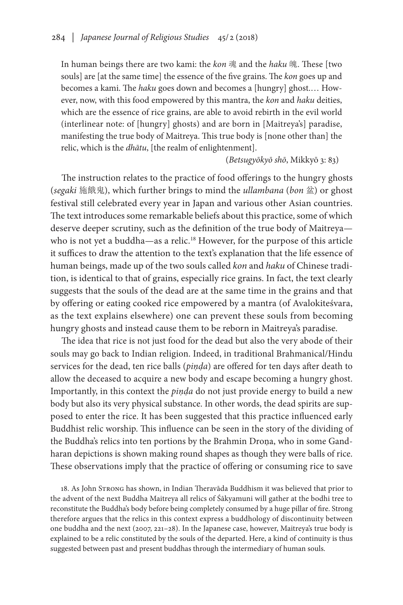In human beings there are two kami: the *kon* 魂 and the *haku* 魄. These [two souls] are [at the same time] the essence of the five grains. The *kon* goes up and becomes a kami. The *haku* goes down and becomes a [hungry] ghost.… However, now, with this food empowered by this mantra, the *kon* and *haku* deities, which are the essence of rice grains, are able to avoid rebirth in the evil world (interlinear note: of [hungry] ghosts) and are born in [Maitreya's] paradise, manifesting the true body of Maitreya. This true body is [none other than] the relic, which is the *dhātu*, [the realm of enlightenment].

(*Betsugyōkyō shō*, Mikkyō 3: 83)

The instruction relates to the practice of food offerings to the hungry ghosts (*segaki* 施餓鬼), which further brings to mind the *ullambana* (*bon* 盆) or ghost festival still celebrated every year in Japan and various other Asian countries. The text introduces some remarkable beliefs about this practice, some of which deserve deeper scrutiny, such as the definition of the true body of Maitreya who is not yet a buddha—as a relic.<sup>18</sup> However, for the purpose of this article it suffices to draw the attention to the text's explanation that the life essence of human beings, made up of the two souls called *kon* and *haku* of Chinese tradition, is identical to that of grains, especially rice grains. In fact, the text clearly suggests that the souls of the dead are at the same time in the grains and that by offering or eating cooked rice empowered by a mantra (of Avalokiteśvara, as the text explains elsewhere) one can prevent these souls from becoming hungry ghosts and instead cause them to be reborn in Maitreya's paradise.

The idea that rice is not just food for the dead but also the very abode of their souls may go back to Indian religion. Indeed, in traditional Brahmanical/Hindu services for the dead, ten rice balls (*piṇḍa*) are offered for ten days after death to allow the deceased to acquire a new body and escape becoming a hungry ghost. Importantly, in this context the *piṇḍa* do not just provide energy to build a new body but also its very physical substance. In other words, the dead spirits are supposed to enter the rice. It has been suggested that this practice influenced early Buddhist relic worship. This influence can be seen in the story of the dividing of the Buddha's relics into ten portions by the Brahmin Droṇa, who in some Gandharan depictions is shown making round shapes as though they were balls of rice. These observations imply that the practice of offering or consuming rice to save

18. As John Strong has shown, in Indian Theravāda Buddhism it was believed that prior to the advent of the next Buddha Maitreya all relics of Śākyamuni will gather at the bodhi tree to reconstitute the Buddha's body before being completely consumed by a huge pillar of fire. Strong therefore argues that the relics in this context express a buddhology of discontinuity between one buddha and the next (2007, 221–28). In the Japanese case, however, Maitreya's true body is explained to be a relic constituted by the souls of the departed. Here, a kind of continuity is thus suggested between past and present buddhas through the intermediary of human souls.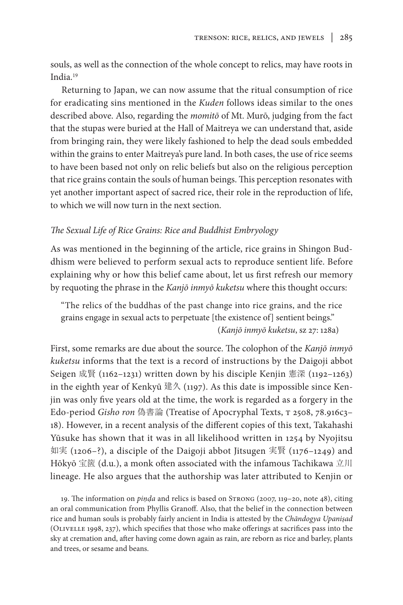souls, as well as the connection of the whole concept to relics, may have roots in India.19

Returning to Japan, we can now assume that the ritual consumption of rice for eradicating sins mentioned in the *Kuden* follows ideas similar to the ones described above. Also, regarding the *momitō* of Mt. Murō, judging from the fact that the stupas were buried at the Hall of Maitreya we can understand that, aside from bringing rain, they were likely fashioned to help the dead souls embedded within the grains to enter Maitreya's pure land. In both cases, the use of rice seems to have been based not only on relic beliefs but also on the religious perception that rice grains contain the souls of human beings. This perception resonates with yet another important aspect of sacred rice, their role in the reproduction of life, to which we will now turn in the next section.

## *The Sexual Life of Rice Grains: Rice and Buddhist Embryology*

As was mentioned in the beginning of the article, rice grains in Shingon Buddhism were believed to perform sexual acts to reproduce sentient life. Before explaining why or how this belief came about, let us first refresh our memory by requoting the phrase in the *Kanjō inmyō kuketsu* where this thought occurs:

"The relics of the buddhas of the past change into rice grains, and the rice grains engage in sexual acts to perpetuate [the existence of] sentient beings." (*Kanjō inmyō kuketsu*, sz 27: 128a)

First, some remarks are due about the source. The colophon of the *Kanjō inmyō kuketsu* informs that the text is a record of instructions by the Daigoji abbot Seigen 成賢 (1162–1231) written down by his disciple Kenjin 憲深 (1192–1263) in the eighth year of Kenkyū 建久 (1197). As this date is impossible since Kenjin was only five years old at the time, the work is regarded as a forgery in the Edo-period *Gisho ron* 偽書論 (Treatise of Apocryphal Texts, T 2508, 78.916c3-18). However, in a recent analysis of the different copies of this text, Takahashi Yūsuke has shown that it was in all likelihood written in 1254 by Nyojitsu 如実 (1206–?), a disciple of the Daigoji abbot Jitsugen 実賢 (1176–1249) and Hōkyō 宝篋 (d.u.), a monk often associated with the infamous Tachikawa 立川 lineage. He also argues that the authorship was later attributed to Kenjin or

19. The information on *piṇḍa* and relics is based on Strong (2007, 119–20, note 48), citing an oral communication from Phyllis Granoff. Also, that the belief in the connection between rice and human souls is probably fairly ancient in India is attested by the *Chāndogya Upaniṣad*  (Olivelle 1998, 237), which specifies that those who make offerings at sacrifices pass into the sky at cremation and, after having come down again as rain, are reborn as rice and barley, plants and trees, or sesame and beans.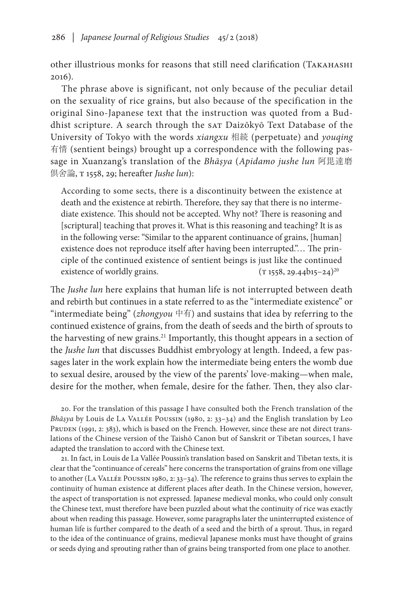other illustrious monks for reasons that still need clarification (Takahashi 2016).

The phrase above is significant, not only because of the peculiar detail on the sexuality of rice grains, but also because of the specification in the original Sino-Japanese text that the instruction was quoted from a Buddhist scripture. A search through the SAT Daizōkyō Text Database of the University of Tokyo with the words *xiangxu* 相続 (perpetuate) and *youqing* 有情 (sentient beings) brought up a correspondence with the following passage in Xuanzang's translation of the *Bhāṣya* (*Apidamo jushe lun* 阿毘達磨 倶舍論, t 1558, 29; hereafter *Jushe lun*):

According to some sects, there is a discontinuity between the existence at death and the existence at rebirth. Therefore, they say that there is no intermediate existence. This should not be accepted. Why not? There is reasoning and [scriptural] teaching that proves it. What is this reasoning and teaching? It is as in the following verse: "Similar to the apparent continuance of grains, [human] existence does not reproduce itself after having been interrupted."… The principle of the continued existence of sentient beings is just like the continued existence of worldly grains.  $(T 1558, 29.44b15-24)^{20}$ 

The *Jushe lun* here explains that human life is not interrupted between death and rebirth but continues in a state referred to as the "intermediate existence" or "intermediate being" (*zhongyou* 中有) and sustains that idea by referring to the continued existence of grains, from the death of seeds and the birth of sprouts to the harvesting of new grains.<sup>21</sup> Importantly, this thought appears in a section of the *Jushe lun* that discusses Buddhist embryology at length. Indeed, a few passages later in the work explain how the intermediate being enters the womb due to sexual desire, aroused by the view of the parents' love-making—when male, desire for the mother, when female, desire for the father. Then, they also clar-

20. For the translation of this passage I have consulted both the French translation of the *Bhāṣya* by Louis de La Vallée Poussin (1980, 2: 33–34) and the English translation by Leo PRUDEN (1991, 2: 383), which is based on the French. However, since these are not direct translations of the Chinese version of the Taishō Canon but of Sanskrit or Tibetan sources, I have adapted the translation to accord with the Chinese text.

21. In fact, in Louis de La Vallée Poussin's translation based on Sanskrit and Tibetan texts, it is clear that the "continuance of cereals" here concerns the transportation of grains from one village to another (La Vallée Poussin 1980, 2: 33–34). The reference to grains thus serves to explain the continuity of human existence at different places after death. In the Chinese version, however, the aspect of transportation is not expressed. Japanese medieval monks, who could only consult the Chinese text, must therefore have been puzzled about what the continuity of rice was exactly about when reading this passage. However, some paragraphs later the uninterrupted existence of human life is further compared to the death of a seed and the birth of a sprout. Thus, in regard to the idea of the continuance of grains, medieval Japanese monks must have thought of grains or seeds dying and sprouting rather than of grains being transported from one place to another.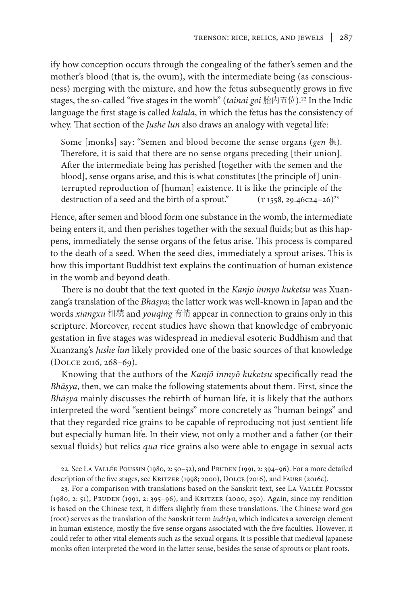ify how conception occurs through the congealing of the father's semen and the mother's blood (that is, the ovum), with the intermediate being (as consciousness) merging with the mixture, and how the fetus subsequently grows in five stages, the so-called "five stages in the womb" (*tainai goi* 胎内五位).22 In the Indic language the first stage is called *kalala*, in which the fetus has the consistency of whey. That section of the *Jushe lun* also draws an analogy with vegetal life:

Some [monks] say: "Semen and blood become the sense organs (*gen* 根). Therefore, it is said that there are no sense organs preceding [their union]. After the intermediate being has perished [together with the semen and the blood], sense organs arise, and this is what constitutes [the principle of] uninterrupted reproduction of [human] existence. It is like the principle of the destruction of a seed and the birth of a sprout."  $(T 1558, 29.46c24-26)^{23}$ 

Hence, after semen and blood form one substance in the womb, the intermediate being enters it, and then perishes together with the sexual fluids; but as this happens, immediately the sense organs of the fetus arise. This process is compared to the death of a seed. When the seed dies, immediately a sprout arises. This is how this important Buddhist text explains the continuation of human existence in the womb and beyond death.

There is no doubt that the text quoted in the *Kanjō inmyō kuketsu* was Xuanzang's translation of the *Bhāṣya*; the latter work was well-known in Japan and the words *xiangxu* 相続 and *youqing* 有情 appear in connection to grains only in this scripture. Moreover, recent studies have shown that knowledge of embryonic gestation in five stages was widespread in medieval esoteric Buddhism and that Xuanzang's *Jushe lun* likely provided one of the basic sources of that knowledge (Dolce 2016, 268–69).

Knowing that the authors of the *Kanjō inmyō kuketsu* specifically read the *Bhāṣya*, then, we can make the following statements about them. First, since the *Bhāṣya* mainly discusses the rebirth of human life, it is likely that the authors interpreted the word "sentient beings" more concretely as "human beings" and that they regarded rice grains to be capable of reproducing not just sentient life but especially human life. In their view, not only a mother and a father (or their sexual fluids) but relics *qua* rice grains also were able to engage in sexual acts

22. See LA VALLÉE POUSSIN (1980, 2: 50-52), and PRUDEN (1991, 2: 394-96). For a more detailed description of the five stages, see KRITZER (1998; 2000), DOLCE (2016), and FAURE (2016c).

23. For a comparison with translations based on the Sanskrit text, see La Vallée Poussin (1980, 2: 51), Pruden (1991, 2: 395–96), and Kritzer (2000, 250). Again, since my rendition is based on the Chinese text, it differs slightly from these translations. The Chinese word *gen* (root) serves as the translation of the Sanskrit term *indriya*, which indicates a sovereign element in human existence, mostly the five sense organs associated with the five faculties*.* However, it could refer to other vital elements such as the sexual organs. It is possible that medieval Japanese monks often interpreted the word in the latter sense, besides the sense of sprouts or plant roots.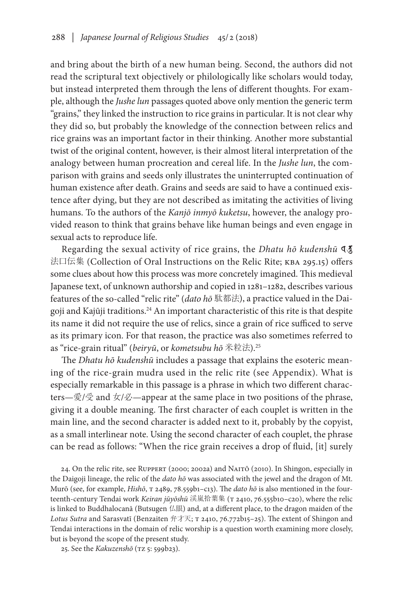and bring about the birth of a new human being. Second, the authors did not read the scriptural text objectively or philologically like scholars would today, but instead interpreted them through the lens of different thoughts. For example, although the *Jushe lun* passages quoted above only mention the generic term "grains," they linked the instruction to rice grains in particular. It is not clear why they did so, but probably the knowledge of the connection between relics and rice grains was an important factor in their thinking. Another more substantial twist of the original content, however, is their almost literal interpretation of the analogy between human procreation and cereal life. In the *Jushe lun*, the comparison with grains and seeds only illustrates the uninterrupted continuation of human existence after death. Grains and seeds are said to have a continued existence after dying, but they are not described as imitating the activities of living humans. To the authors of the *Kanjō inmyō kuketsu*, however, the analogy provided reason to think that grains behave like human beings and even engage in sexual acts to reproduce life.

Regarding the sexual activity of rice grains, the *Dhatu hō kudenshū* ध 法口伝集 (Collection of Oral Instructions on the Relic Rite; kba 295.15) offers some clues about how this process was more concretely imagined. This medieval Japanese text, of unknown authorship and copied in 1281–1282, describes various features of the so-called "relic rite" (*dato hō* 駄都法), a practice valued in the Daigoji and Kajūji traditions.<sup>24</sup> An important characteristic of this rite is that despite its name it did not require the use of relics, since a grain of rice sufficed to serve as its primary icon. For that reason, the practice was also sometimes referred to as "rice-grain ritual" (*beiryū*, or *kometsubu hō* 米粒法).25

The *Dhatu hō kudenshū* includes a passage that explains the esoteric meaning of the rice-grain mudra used in the relic rite (see Appendix). What is especially remarkable in this passage is a phrase in which two different characters—愛/受 and 女/必—appear at the same place in two positions of the phrase, giving it a double meaning. The first character of each couplet is written in the main line, and the second character is added next to it, probably by the copyist, as a small interlinear note. Using the second character of each couplet, the phrase can be read as follows: "When the rice grain receives a drop of fluid, [it] surely

24. On the relic rite, see Ruppert (2000; 2002a) and Naitō (2010). In Shingon, especially in the Daigoji lineage, the relic of the *dato hō* was associated with the jewel and the dragon of Mt. Murō (see, for example, *Hishō*, t 2489, 78.559b1–c13). The *dato hō* is also mentioned in the fourteenth-century Tendai work *Keiran jūyōshū* 渓嵐拾葉集 (T 2410, 76.555b10-c20), where the relic is linked to Buddhalocanā (Butsugen 仏眼) and, at a different place, to the dragon maiden of the Lotus Sutra and Sarasvatī (Benzaiten 弁才天; T 2410, 76.772b15-25). The extent of Shingon and Tendai interactions in the domain of relic worship is a question worth examining more closely, but is beyond the scope of the present study.

25. See the *Kakuzenshō* (tz 5: 599b23).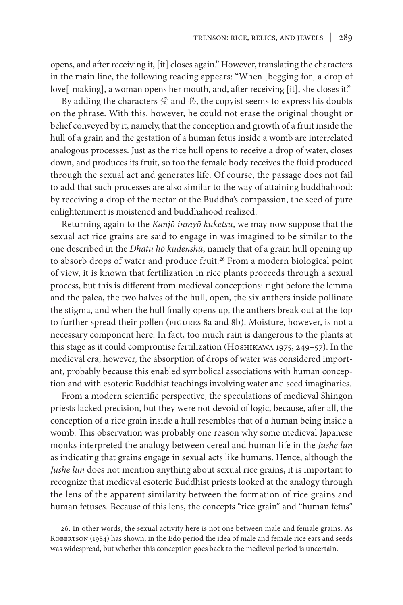opens, and after receiving it, [it] closes again." However, translating the characters in the main line, the following reading appears: "When [begging for] a drop of love[-making], a woman opens her mouth, and, after receiving [it], she closes it."

By adding the characters  $\Im$  and  $\Im$ , the copyist seems to express his doubts on the phrase. With this, however, he could not erase the original thought or belief conveyed by it, namely, that the conception and growth of a fruit inside the hull of a grain and the gestation of a human fetus inside a womb are interrelated analogous processes. Just as the rice hull opens to receive a drop of water, closes down, and produces its fruit, so too the female body receives the fluid produced through the sexual act and generates life. Of course, the passage does not fail to add that such processes are also similar to the way of attaining buddhahood: by receiving a drop of the nectar of the Buddha's compassion, the seed of pure enlightenment is moistened and buddhahood realized.

Returning again to the *Kanjō inmyō kuketsu*, we may now suppose that the sexual act rice grains are said to engage in was imagined to be similar to the one described in the *Dhatu hō kudenshū*, namely that of a grain hull opening up to absorb drops of water and produce fruit.<sup>26</sup> From a modern biological point of view, it is known that fertilization in rice plants proceeds through a sexual process, but this is different from medieval conceptions: right before the lemma and the palea, the two halves of the hull, open, the six anthers inside pollinate the stigma, and when the hull finally opens up, the anthers break out at the top to further spread their pollen (figures 8a and 8b). Moisture, however, is not a necessary component here. In fact, too much rain is dangerous to the plants at this stage as it could compromise fertilization (HOSHIKAWA 1975, 249–57). In the medieval era, however, the absorption of drops of water was considered important, probably because this enabled symbolical associations with human conception and with esoteric Buddhist teachings involving water and seed imaginaries.

From a modern scientific perspective, the speculations of medieval Shingon priests lacked precision, but they were not devoid of logic, because, after all, the conception of a rice grain inside a hull resembles that of a human being inside a womb. This observation was probably one reason why some medieval Japanese monks interpreted the analogy between cereal and human life in the *Jushe lun* as indicating that grains engage in sexual acts like humans. Hence, although the *Jushe lun* does not mention anything about sexual rice grains, it is important to recognize that medieval esoteric Buddhist priests looked at the analogy through the lens of the apparent similarity between the formation of rice grains and human fetuses. Because of this lens, the concepts "rice grain" and "human fetus"

<sup>26.</sup> In other words, the sexual activity here is not one between male and female grains. As ROBERTSON (1984) has shown, in the Edo period the idea of male and female rice ears and seeds was widespread, but whether this conception goes back to the medieval period is uncertain.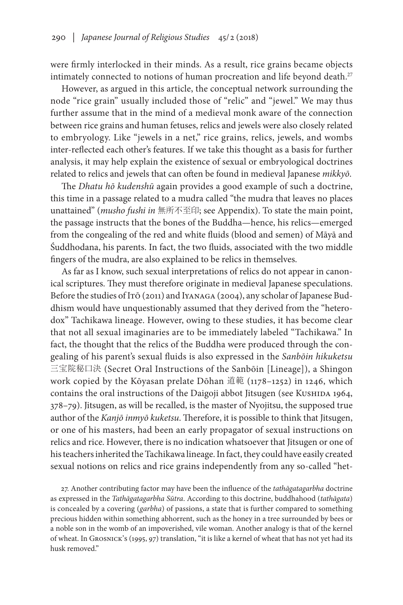were firmly interlocked in their minds. As a result, rice grains became objects intimately connected to notions of human procreation and life beyond death.<sup>27</sup>

However, as argued in this article, the conceptual network surrounding the node "rice grain" usually included those of "relic" and "jewel." We may thus further assume that in the mind of a medieval monk aware of the connection between rice grains and human fetuses, relics and jewels were also closely related to embryology. Like "jewels in a net," rice grains, relics, jewels, and wombs inter-reflected each other's features. If we take this thought as a basis for further analysis, it may help explain the existence of sexual or embryological doctrines related to relics and jewels that can often be found in medieval Japanese *mikkyō*.

The *Dhatu hō kudenshū* again provides a good example of such a doctrine, this time in a passage related to a mudra called "the mudra that leaves no places unattained" (*musho fushi in* 無所不至印; see Appendix). To state the main point, the passage instructs that the bones of the Buddha—hence, his relics—emerged from the congealing of the red and white fluids (blood and semen) of Māyā and Śuddhodana, his parents. In fact, the two fluids, associated with the two middle fingers of the mudra, are also explained to be relics in themselves.

As far as I know, such sexual interpretations of relics do not appear in canonical scriptures. They must therefore originate in medieval Japanese speculations. Before the studies of Itō (2011) and IYANAGA (2004), any scholar of Japanese Buddhism would have unquestionably assumed that they derived from the "heterodox" Tachikawa lineage. However, owing to these studies, it has become clear that not all sexual imaginaries are to be immediately labeled "Tachikawa." In fact, the thought that the relics of the Buddha were produced through the congealing of his parent's sexual fluids is also expressed in the *Sanbōin hikuketsu* 三宝院秘口決 (Secret Oral Instructions of the Sanbōin [Lineage]), a Shingon work copied by the Kōyasan prelate Dōhan 道範 (1178–1252) in 1246, which contains the oral instructions of the Daigoji abbot Jitsugen (see KUSHIDA 1964, 378–79). Jitsugen, as will be recalled, is the master of Nyojitsu, the supposed true author of the *Kanjō inmyō kuketsu*. Therefore, it is possible to think that Jitsugen, or one of his masters, had been an early propagator of sexual instructions on relics and rice. However, there is no indication whatsoever that Jitsugen or one of his teachers inherited the Tachikawa lineage. In fact, they could have easily created sexual notions on relics and rice grains independently from any so-called "het-

27. Another contributing factor may have been the influence of the *tathāgatagarbha* doctrine as expressed in the *Tathāgatagarbha Sūtra*. According to this doctrine, buddhahood (*tathāgata*) is concealed by a covering (*garbha*) of passions, a state that is further compared to something precious hidden within something abhorrent, such as the honey in a tree surrounded by bees or a noble son in the womb of an impoverished, vile woman. Another analogy is that of the kernel of wheat. In Grosnick's (1995, 97) translation, "it is like a kernel of wheat that has not yet had its husk removed."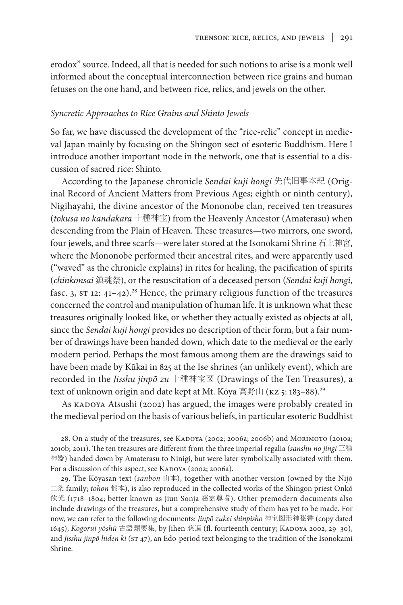erodox" source. Indeed, all that is needed for such notions to arise is a monk well informed about the conceptual interconnection between rice grains and human fetuses on the one hand, and between rice, relics, and jewels on the other.

### *Syncretic Approaches to Rice Grains and Shinto Jewels*

So far, we have discussed the development of the "rice-relic" concept in medieval Japan mainly by focusing on the Shingon sect of esoteric Buddhism. Here I introduce another important node in the network, one that is essential to a discussion of sacred rice: Shinto.

According to the Japanese chronicle *Sendai kuji hongi* 先代旧事本紀 (Original Record of Ancient Matters from Previous Ages; eighth or ninth century), Nigihayahi, the divine ancestor of the Mononobe clan, received ten treasures (*tokusa no kandakara* 十種神宝) from the Heavenly Ancestor (Amaterasu) when descending from the Plain of Heaven. These treasures—two mirrors, one sword, four jewels, and three scarfs—were later stored at the Isonokami Shrine 石上神宮, where the Mononobe performed their ancestral rites, and were apparently used ("waved" as the chronicle explains) in rites for healing, the pacification of spirits (*chinkonsai* 鎮魂祭), or the resuscitation of a deceased person (*Sendai kuji hongi*, fasc. 3,  $ST 12: 41-42$ .<sup>28</sup> Hence, the primary religious function of the treasures concerned the control and manipulation of human life. It is unknown what these treasures originally looked like, or whether they actually existed as objects at all, since the *Sendai kuji hongi* provides no description of their form, but a fair number of drawings have been handed down, which date to the medieval or the early modern period. Perhaps the most famous among them are the drawings said to have been made by Kūkai in 825 at the Ise shrines (an unlikely event), which are recorded in the *Jisshu jinpō zu* 十種神宝図 (Drawings of the Ten Treasures), a text of unknown origin and date kept at Mt. Kōya 高野山 (KZ 5: 183-88).<sup>29</sup>

As KADOYA Atsushi (2002) has argued, the images were probably created in the medieval period on the basis of various beliefs, in particular esoteric Buddhist

28. On a study of the treasures, see KADOYA (2002; 2006a; 2006b) and MORIMOTO (2010a; 2010b; 2011). The ten treasures are different from the three imperial regalia (*sanshu no jingi* 三種 神器) handed down by Amaterasu to Ninigi, but were later symbolically associated with them. For a discussion of this aspect, see KADOYA (2002; 2006a).

29. The Kōyasan text (*sanbon* 山本), together with another version (owned by the Nijō 二条 family; *tohon* 都本), is also reproduced in the collected works of the Shingon priest Onkō 飲光 (1718–1804; better known as Jiun Sonja 慈雲尊者). Other premodern documents also include drawings of the treasures, but a comprehensive study of them has yet to be made. For now, we can refer to the following documents: *Jinpō zukei shinpisho* 神宝図形神秘書 (copy dated 1645), *Kogorui yōshū* 古語類要集, by Jihen 慈遍 (fl. fourteenth century; Kadoya 2002, 29–30), and *Jisshu jinpō hiden ki* (st 47), an Edo-period text belonging to the tradition of the Isonokami Shrine.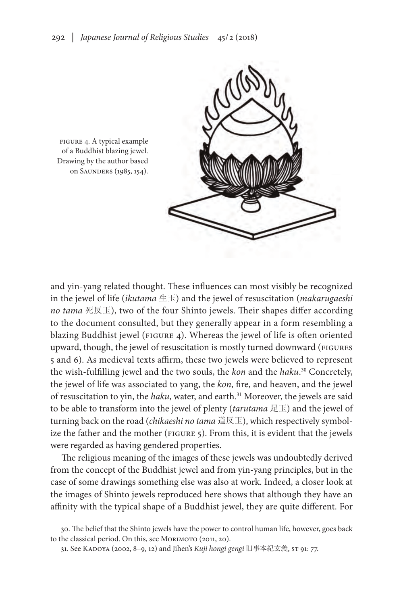

figure 4. A typical example of a Buddhist blazing jewel. Drawing by the author based on SAUNDERS (1985, 154).

and yin-yang related thought. These influences can most visibly be recognized in the jewel of life (*ikutama* 生玉) and the jewel of resuscitation (*makarugaeshi no tama* 死反玉), two of the four Shinto jewels. Their shapes differ according to the document consulted, but they generally appear in a form resembling a blazing Buddhist jewel (FIGURE 4). Whereas the jewel of life is often oriented upward, though, the jewel of resuscitation is mostly turned downward (FIGURES 5 and 6). As medieval texts affirm, these two jewels were believed to represent the wish-fulfilling jewel and the two souls, the *kon* and the *haku*. 30 Concretely, the jewel of life was associated to yang, the *kon*, fire, and heaven, and the jewel of resuscitation to yin, the *haku*, water, and earth.<sup>31</sup> Moreover, the jewels are said to be able to transform into the jewel of plenty (*tarutama* 足玉) and the jewel of turning back on the road (*chikaeshi no tama* 道反玉), which respectively symbolize the father and the mother (figure 5). From this, it is evident that the jewels were regarded as having gendered properties.

The religious meaning of the images of these jewels was undoubtedly derived from the concept of the Buddhist jewel and from yin-yang principles, but in the case of some drawings something else was also at work. Indeed, a closer look at the images of Shinto jewels reproduced here shows that although they have an affinity with the typical shape of a Buddhist jewel, they are quite different. For

<sup>30.</sup> The belief that the Shinto jewels have the power to control human life, however, goes back to the classical period. On this, see MORIMOTO (2011, 20).

<sup>31.</sup> See Kadoya (2002, 8–9, 12) and Jihen's *Kuji hongi gengi* 旧事本紀玄義, st 91: 77.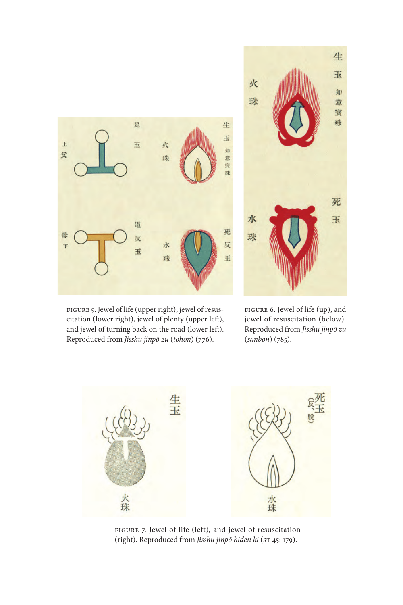

figure 5. Jewel of life (upper right), jewel of resuscitation (lower right), jewel of plenty (upper left), and jewel of turning back on the road (lower left). Reproduced from *Jisshu jinpō zu* (*tohon*) (776).



figure 6. Jewel of life (up), and jewel of resuscitation (below). Reproduced from *Jisshu jinpō zu* (*sanbon*) (785).



figure 7. Jewel of life (left), and jewel of resuscitation (right). Reproduced from *Jisshu jinpō hiden ki* (ST 45: 179).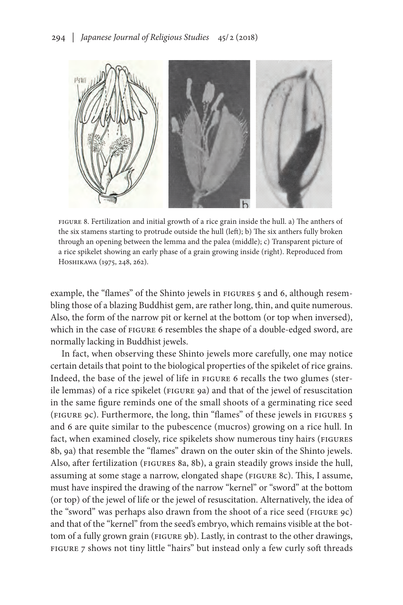

FIGURE 8. Fertilization and initial growth of a rice grain inside the hull. a) The anthers of the six stamens starting to protrude outside the hull (left); b) The six anthers fully broken through an opening between the lemma and the palea (middle); c) Transparent picture of a rice spikelet showing an early phase of a grain growing inside (right). Reproduced from Hoshikawa (1975, 248, 262).

example, the "flames" of the Shinto jewels in FIGURES 5 and 6, although resembling those of a blazing Buddhist gem, are rather long, thin, and quite numerous. Also, the form of the narrow pit or kernel at the bottom (or top when inversed), which in the case of FIGURE 6 resembles the shape of a double-edged sword, are normally lacking in Buddhist jewels.

In fact, when observing these Shinto jewels more carefully, one may notice certain details that point to the biological properties of the spikelet of rice grains. Indeed, the base of the jewel of life in FIGURE 6 recalls the two glumes (sterile lemmas) of a rice spikelet (FIGURE 9a) and that of the jewel of resuscitation in the same figure reminds one of the small shoots of a germinating rice seed (figure 9c). Furthermore, the long, thin "flames" of these jewels in figures 5 and 6 are quite similar to the pubescence (mucros) growing on a rice hull. In fact, when examined closely, rice spikelets show numerous tiny hairs (FIGURES 8b, 9a) that resemble the "flames" drawn on the outer skin of the Shinto jewels. Also, after fertilization (FIGURES 8a, 8b), a grain steadily grows inside the hull, assuming at some stage a narrow, elongated shape (FIGURE 8c). This, I assume, must have inspired the drawing of the narrow "kernel" or "sword" at the bottom (or top) of the jewel of life or the jewel of resuscitation. Alternatively, the idea of the "sword" was perhaps also drawn from the shoot of a rice seed (FIGURE 9c) and that of the "kernel" from the seed's embryo, which remains visible at the bottom of a fully grown grain (FIGURE 9b). Lastly, in contrast to the other drawings, figure 7 shows not tiny little "hairs" but instead only a few curly soft threads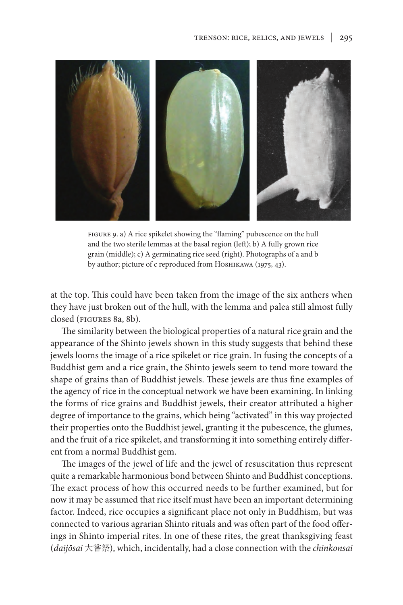

figure 9. a) A rice spikelet showing the "flaming" pubescence on the hull and the two sterile lemmas at the basal region (left); b) A fully grown rice grain (middle); c) A germinating rice seed (right). Photographs of a and b by author; picture of с reproduced from Ноѕнікаwа (1975, 43).

at the top. This could have been taken from the image of the six anthers when they have just broken out of the hull, with the lemma and palea still almost fully closed (figures 8a, 8b).

The similarity between the biological properties of a natural rice grain and the appearance of the Shinto jewels shown in this study suggests that behind these jewels looms the image of a rice spikelet or rice grain. In fusing the concepts of a Buddhist gem and a rice grain, the Shinto jewels seem to tend more toward the shape of grains than of Buddhist jewels. These jewels are thus fine examples of the agency of rice in the conceptual network we have been examining. In linking the forms of rice grains and Buddhist jewels, their creator attributed a higher degree of importance to the grains, which being "activated" in this way projected their properties onto the Buddhist jewel, granting it the pubescence, the glumes, and the fruit of a rice spikelet, and transforming it into something entirely different from a normal Buddhist gem.

The images of the jewel of life and the jewel of resuscitation thus represent quite a remarkable harmonious bond between Shinto and Buddhist conceptions. The exact process of how this occurred needs to be further examined, but for now it may be assumed that rice itself must have been an important determining factor. Indeed, rice occupies a significant place not only in Buddhism, but was connected to various agrarian Shinto rituals and was often part of the food offerings in Shinto imperial rites. In one of these rites, the great thanksgiving feast (*daijōsai* 大嘗祭), which, incidentally, had a close connection with the *chinkonsai*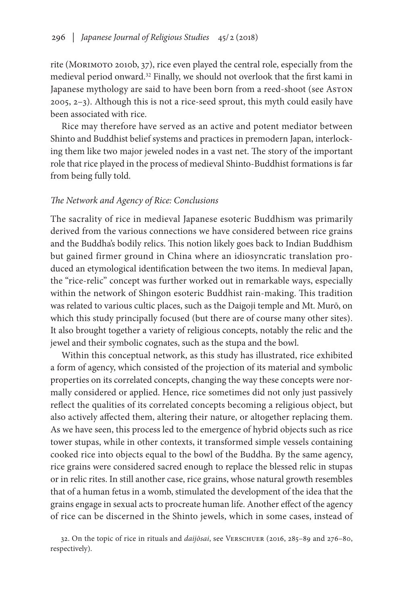rite (Morimoto 2010b, 37), rice even played the central role, especially from the medieval period onward.<sup>32</sup> Finally, we should not overlook that the first kami in Japanese mythology are said to have been born from a reed-shoot (see Aston 2005, 2–3). Although this is not a rice-seed sprout, this myth could easily have been associated with rice.

Rice may therefore have served as an active and potent mediator between Shinto and Buddhist belief systems and practices in premodern Japan, interlocking them like two major jeweled nodes in a vast net. The story of the important role that rice played in the process of medieval Shinto-Buddhist formations is far from being fully told.

## *The Network and Agency of Rice: Conclusions*

The sacrality of rice in medieval Japanese esoteric Buddhism was primarily derived from the various connections we have considered between rice grains and the Buddha's bodily relics. This notion likely goes back to Indian Buddhism but gained firmer ground in China where an idiosyncratic translation produced an etymological identification between the two items. In medieval Japan, the "rice-relic" concept was further worked out in remarkable ways, especially within the network of Shingon esoteric Buddhist rain-making. This tradition was related to various cultic places, such as the Daigoji temple and Mt. Murō, on which this study principally focused (but there are of course many other sites). It also brought together a variety of religious concepts, notably the relic and the jewel and their symbolic cognates, such as the stupa and the bowl.

Within this conceptual network, as this study has illustrated, rice exhibited a form of agency, which consisted of the projection of its material and symbolic properties on its correlated concepts, changing the way these concepts were normally considered or applied. Hence, rice sometimes did not only just passively reflect the qualities of its correlated concepts becoming a religious object, but also actively affected them, altering their nature, or altogether replacing them. As we have seen, this process led to the emergence of hybrid objects such as rice tower stupas, while in other contexts, it transformed simple vessels containing cooked rice into objects equal to the bowl of the Buddha. By the same agency, rice grains were considered sacred enough to replace the blessed relic in stupas or in relic rites. In still another case, rice grains, whose natural growth resembles that of a human fetus in a womb, stimulated the development of the idea that the grains engage in sexual acts to procreate human life. Another effect of the agency of rice can be discerned in the Shinto jewels, which in some cases, instead of

32. On the topic of rice in rituals and *daijōsai*, see Verschuer (2016, 285–89 and 276–80, respectively).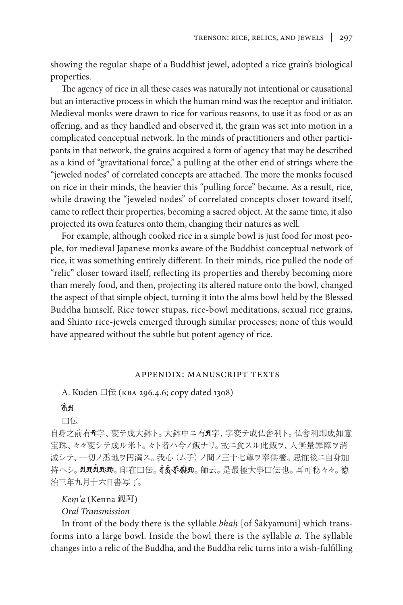showing the regular shape of a Buddhist jewel, adopted a rice grain's biological properties.

The agency of rice in all these cases was naturally not intentional or causational but an interactive process in which the human mind was the receptor and initiator. Medieval monks were drawn to rice for various reasons, to use it as food or as an offering, and as they handled and observed it, the grain was set into motion in a complicated conceptual network. In the minds of practitioners and other participants in that network, the grains acquired a form of agency that may be described as a kind of "gravitational force," a pulling at the other end of strings where the "jeweled nodes" of correlated concepts are attached. The more the monks focused on rice in their minds, the heavier this "pulling force" became. As a result, rice, while drawing the "jeweled nodes" of correlated concepts closer toward itself, came to reflect their properties, becoming a sacred object. At the same time, it also projected its own features onto them, changing their natures as well.

For example, although cooked rice in a simple bowl is just food for most people, for medieval Japanese monks aware of the Buddhist conceptual network of rice, it was something entirely different. In their minds, rice pulled the node of "relic" closer toward itself, reflecting its properties and thereby becoming more than merely food, and then, projecting its altered nature onto the bowl, changed the aspect of that simple object, turning it into the alms bowl held by the Blessed Buddha himself. Rice tower stupas, rice-bowl meditations, sexual rice grains, and Shinto rice-jewels emerged through similar processes; none of this would have appeared without the subtle but potent agency of rice.

## appendix: manuscript texts

A. Kuden 口伝 (kba 296.4.6; copy dated 1308)

# कें अ

口伝

自身之前有多字、変テ成大鉢ト。大鉢中ニ有5字、字変テ成仏舎利ト。仏舎利即成如意 宝珠、々々変シテ成ル米ト。々ト者ハ今ノ飯ナリ。故ニ食スル此飯ヲ、人無量罪障ヲ消 滅シテ、一切ノ悉地ヲ円満ス。我心(ム子)ノ間ノ三十七尊ヲ奉供養。思惟後ニ自身加 持へシ。**刃刃丸玦**。印在口伝。**す、、、、。**師云。是最極大事口伝也。耳可秘々々。徳 治三年九月十六日書写了。

*Keṃ'a* (Kenna 釼阿)

*Oral Transmission*

In front of the body there is the syllable *bhaḥ* [of Śākyamuni] which transforms into a large bowl. Inside the bowl there is the syllable *a*. The syllable changes into a relic of the Buddha, and the Buddha relic turns into a wish-fulfilling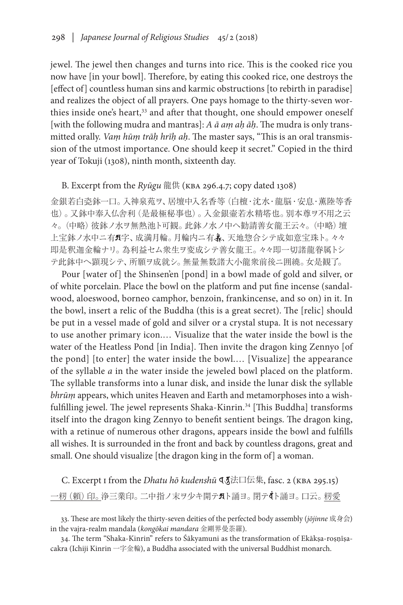jewel. The jewel then changes and turns into rice. This is the cooked rice you now have [in your bowl]. Therefore, by eating this cooked rice, one destroys the [effect of] countless human sins and karmic obstructions [to rebirth in paradise] and realizes the object of all prayers. One pays homage to the thirty-seven worthies inside one's heart,<sup>33</sup> and after that thought, one should empower oneself [with the following mudra and mantras]: *A ā aṃ aḥ āḥ*. The mudra is only transmitted orally. *Vaṃ hūṃ trāḥ hrīḥ aḥ*. The master says, "This is an oral transmission of the utmost importance. One should keep it secret." Copied in the third year of Tokuji (1308), ninth month, sixteenth day.

## B. Excerpt from the *Ryūgu* 龍供 (kba 296.4.7; copy dated 1308)

金銀若白瓷鉢一口。入神泉苑ヲ、居壇中入名香等(白檀・沈水・龍脳・安息・薫陸等香 也)。又鉢中奉入仏舎利(是最極秘事也)。入金銀壷若水精塔也。別本尊ヲ不用之云 々。(中略)彼鉢ノ水ヲ無熱池ト可観。此鉢ノ水ノ中へ勧請善女龍王云々。(中略)壇 上宝鉢ノ水中ニ有5字、成満月輪。月輪内ニ有3、天地惣合シテ成如意宝珠ト。々々 即是釈迦金輪ナリ。為利益セム衆生ヲ変成シテ善女龍王。々々即一切諸龍眷属トシ テ此鉢中へ顕現シテ、所願ヲ成就シ。無量無数諸大小龍衆前後ニ囲繞。女是観了。

Pour [water of] the Shinsen'en [pond] in a bowl made of gold and silver, or of white porcelain. Place the bowl on the platform and put fine incense (sandalwood, aloeswood, borneo camphor, benzoin, frankincense, and so on) in it. In the bowl, insert a relic of the Buddha (this is a great secret). The [relic] should be put in a vessel made of gold and silver or a crystal stupa. It is not necessary to use another primary icon.… Visualize that the water inside the bowl is the water of the Heatless Pond [in India]. Then invite the dragon king Zennyo [of the pond] [to enter] the water inside the bowl.… [Visualize] the appearance of the syllable *a* in the water inside the jeweled bowl placed on the platform. The syllable transforms into a lunar disk, and inside the lunar disk the syllable *bhrūṃ* appears, which unites Heaven and Earth and metamorphoses into a wishfulfilling jewel. The jewel represents Shaka-Kinrin.<sup>34</sup> [This Buddha] transforms itself into the dragon king Zennyo to benefit sentient beings. The dragon king, with a retinue of numerous other dragons, appears inside the bowl and fulfills all wishes. It is surrounded in the front and back by countless dragons, great and small. One should visualize [the dragon king in the form of] a woman.

C. Excerpt I from the *Dhatu hō kudenshū* <a> **4**</a>  $\mathbf{A}$  asc. 2 (KBA 295.15) 一籾 (頼) 印。浄三業印。二中指ノ末ヲ少キ開テスト誦ヨ。閉テ《ト誦ヨ。口云。籾愛

<sup>33.</sup> These are most likely the thirty-seven deities of the perfected body assembly (*jōjinne* 成身会) in the vajra-realm mandala (*kongōkai mandara* 金剛界曼荼羅).

<sup>34.</sup> The term "Shaka-Kinrin" refers to Śākyamuni as the transformation of Ekākṣa-roṣṇīṣacakra (Ichiji Kinrin 一字金輪), a Buddha associated with the universal Buddhist monarch.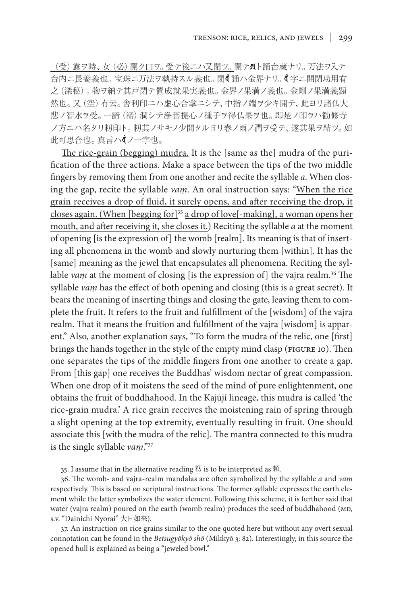(受)露ヲ時、女 (必) 開ク口ヲ。受テ後ニハ又閉ツ。開テパト誦台蔵ナリ。万法ヲ入テ 台内ニ長養義也。宝珠ニ万法ヲ執持スル義也。 閉(ं 誦ハ金界ナリ。 (草ニ開閉功用有 之(深秘)。物ヲ納テ其戸閉テ置成就果実義也。金界ノ果満ノ義也。金剛ノ果満義顕 然也。又(空)有云。舎利印ニハ虚心合掌ニシテ、中指ノ端ヲ少キ開テ、此ヨリ諸仏大 悲ノ智水ヲ受。一諦(渧)潤シテ浄菩提心ノ種子ヲ得仏果ヲ也。即是ノ印ヲハ勧修寺 ノ方ニハ名タリ籾印ト。籾其ノサキノ少開タルヨリ春ノ雨ノ潤ヲ受テ、遂其果ヲ結ツ。如 此可思合也。真言ハイノ一字也。

The rice-grain (begging) mudra. It is the [same as the] mudra of the purification of the three actions. Make a space between the tips of the two middle fingers by removing them from one another and recite the syllable *a*. When closing the gap, recite the syllable *vaṃ*. An oral instruction says: "When the rice grain receives a drop of fluid, it surely opens, and after receiving the drop, it closes again. (When [begging for]35 a drop of love[-making], a woman opens her mouth, and after receiving it, she closes it.) Reciting the syllable *a* at the moment of opening [is the expression of] the womb [realm]. Its meaning is that of inserting all phenomena in the womb and slowly nurturing them [within]. It has the [same] meaning as the jewel that encapsulates all phenomena. Reciting the syllable *vam* at the moment of closing [is the expression of] the vajra realm.<sup>36</sup> The syllable *vaṃ* has the effect of both opening and closing (this is a great secret). It bears the meaning of inserting things and closing the gate, leaving them to complete the fruit. It refers to the fruit and fulfillment of the [wisdom] of the vajra realm. That it means the fruition and fulfillment of the vajra [wisdom] is apparent." Also, another explanation says, "To form the mudra of the relic, one [first] brings the hands together in the style of the empty mind clasp (FIGURE 10). Then one separates the tips of the middle fingers from one another to create a gap. From [this gap] one receives the Buddhas' wisdom nectar of great compassion. When one drop of it moistens the seed of the mind of pure enlightenment, one obtains the fruit of buddhahood. In the Kajūji lineage, this mudra is called 'the rice-grain mudra.' A rice grain receives the moistening rain of spring through a slight opening at the top extremity, eventually resulting in fruit. One should associate this [with the mudra of the relic]. The mantra connected to this mudra is the single syllable *vaṃ*."37

35. I assume that in the alternative reading 籾 is to be interpreted as 頼.

36. The womb- and vajra-realm mandalas are often symbolized by the syllable *a* and *vaṃ* respectively. This is based on scriptural instructions. The former syllable expresses the earth element while the latter symbolizes the water element. Following this scheme, it is further said that water (vajra realm) poured on the earth (womb realm) produces the seed of buddhahood (MD, s.v. "Dainichi Nyorai" 大日如来).

37. An instruction on rice grains similar to the one quoted here but without any overt sexual connotation can be found in the *Betsugyōkyō shō* (Mikkyō 3: 82). Interestingly, in this source the opened hull is explained as being a "jeweled bowl."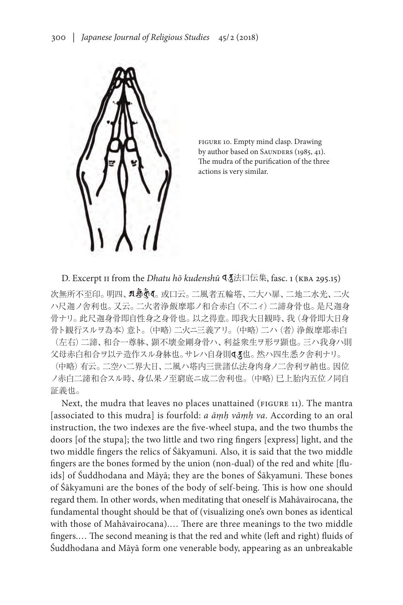

FIGURE 10. Empty mind clasp. Drawing by author based on SAUNDERS (1985, 41). The mudra of the purification of the three actions is very similar.

D. Excerpt II from the *Dhatu hō kudenshū* **۹** 东江口伝集, fasc. 1 (KBA 295.15)

次無所不至印。明四**、<mark>凡</mark>���(**。或口云。二風者五輪塔、二大ハ扉、二地二水光、二火 ハ尺迦ノ舎利也。又云。二火者浄飯摩耶ノ和合赤白(不二ィ)二諦身骨也。是尺迦身 骨ナリ。此尺迦身骨即自性身之身骨也。以之得意。即我大日観時、我(身骨即大日身 骨ト観行スルヲ為本)意ト。(中略)二火ニ三義アリ。(中略)二ハ(者)浄飯摩耶赤白 (左右)二諦、和合一尊躰、顕不壊金剛身骨ハ、利益衆生ヲ形ヲ顕也。三ハ我身ハ則 父母赤白和合ヲ以テ造作スル身躰也。サレハ自身則<る也。然ハ四生悉ク舎利ナリ。

(中略)有云。二空ハ二界大日、二風ハ塔内三世諸仏法身肉身ノ二舎利ヲ納也。因位 ノ赤白二諦和合スル時、身仏果ノ至窮底ニ成二舎利也。(中略)已上胎内五位ノ同自 証義也。

Next, the mudra that leaves no places unattained (FIGURE 11). The mantra [associated to this mudra] is fourfold: *a āṃḥ vāṃḥ va*. According to an oral instruction, the two indexes are the five-wheel stupa, and the two thumbs the doors [of the stupa]; the two little and two ring fingers [express] light, and the two middle fingers the relics of Śākyamuni. Also, it is said that the two middle fingers are the bones formed by the union (non-dual) of the red and white [fluids] of Śuddhodana and Māyā; they are the bones of Śākyamuni. These bones of Śākyamuni are the bones of the body of self-being. This is how one should regard them. In other words, when meditating that oneself is Mahāvairocana, the fundamental thought should be that of (visualizing one's own bones as identical with those of Mahāvairocana).… There are three meanings to the two middle fingers.… The second meaning is that the red and white (left and right) fluids of Śuddhodana and Māyā form one venerable body, appearing as an unbreakable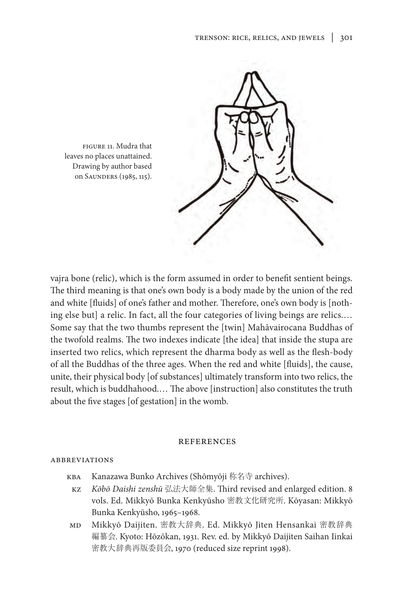

leaves no places unattained. Drawing by author based on SAUNDERS (1985, 115).

vajra bone (relic), which is the form assumed in order to benefit sentient beings. The third meaning is that one's own body is a body made by the union of the red and white [fluids] of one's father and mother. Therefore, one's own body is [nothing else but] a relic. In fact, all the four categories of living beings are relics.… Some say that the two thumbs represent the [twin] Mahāvairocana Buddhas of the twofold realms. The two indexes indicate [the idea] that inside the stupa are inserted two relics, which represent the dharma body as well as the flesh-body of all the Buddhas of the three ages. When the red and white [fluids], the cause, unite, their physical body [of substances] ultimately transform into two relics, the result, which is buddhahood.… The above [instruction] also constitutes the truth about the five stages [of gestation] in the womb.

#### **REFERENCES**

#### **ABBREVIATIONS**

- kba Kanazawa Bunko Archives (Shōmyōji 称名寺 archives).
	- kz *Kōbō Daishi zenshū* 弘法大師全集. Third revised and enlarged edition. 8 vols. Ed. Mikkyō Bunka Kenkyūsho 密教文化研究所. Kōyasan: Mikkyō Bunka Kenkyūsho, 1965–1968.
- md Mikkyō Daijiten. 密教大辞典. Ed. Mikkyō Jiten Hensankai 密教辞典 編纂会. Kyoto: Hōzōkan, 1931. Rev. ed. by Mikkyō Daijiten Saihan Iinkai 密教大辞典再版委員会, 1970 (reduced size reprint 1998).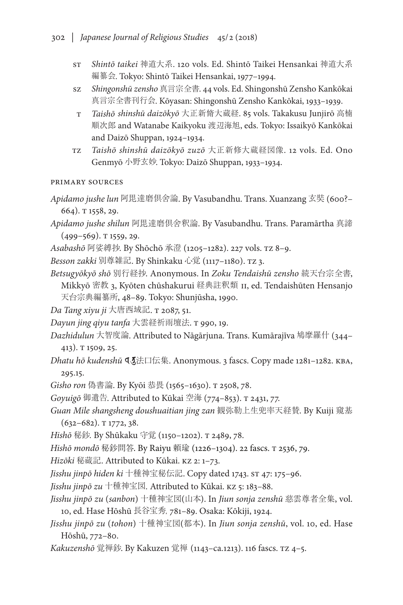- st *Shintō taikei* 神道大系. 120 vols. Ed. Shintō Taikei Hensankai 神道大系 編纂会. Tokyo: Shintō Taikei Hensankai, 1977–1994.
- sz *Shingonshū zensho* 真言宗全書. 44 vols. Ed. Shingonshū Zensho Kankōkai 真言宗全書刊行会. Kōyasan: Shingonshū Zensho Kankōkai, 1933–1939.
- t *Taishō shinshū daizōkyō* 大正新脩大蔵経. 85 vols. Takakusu Junjirō 高楠 順次郎 and Watanabe Kaikyoku 渡辺海旭, eds. Tokyo: Issaikyō Kankōkai and Daizō Shuppan, 1924–1934.
- tz *Taishō shinshū daizōkyō zuzō* 大正新修大蔵経図像. 12 vols. Ed. Ono Genmyō 小野玄妙. Tokyo: Daizō Shuppan, 1933–1934.

# primary sources

- *Apidamo jushe lun* 阿毘達磨倶舍論. By Vasubandhu. Trans. Xuanzang 玄奘 (600?– 664). T 1558, 29.
- *Apidamo jushe shilun* 阿毘達磨倶舍釈論. By Vasubandhu. Trans. Paramārtha 真諦  $(499 - 569)$ . T 1559, 29.
- *Asabashō* 阿娑縛抄. By Shōchō 承澄 (1205–1282). 227 vols. tz 8–9.
- *Besson zakki* 別尊雑記. By Shinkaku 心覚 (1117–1180). tz 3.
- *Betsugyōkyō shō* 別行経抄. Anonymous. In *Zoku Tendaishū zensho* 続天台宗全書, Mikkyō 密教 3, Kyōten chūshakurui 経典註釈類 II, ed. Tendaishūten Hensanjo 天台宗典編纂所, 48–89. Tokyo: Shunjūsha, 1990.
- *Da Tang xiyu ji* 大唐西域記. t 2087, 51.
- *Dayun jing qiyu tanfa* 大雲経祈雨壇法. t 990, 19.
- *Dazhidulun* 大智度論. Attributed to Nāgārjuna. Trans. Kumārajīva 鳩摩羅什 (344– 413). T 1509, 25.
- *Dhatu hō kudenshū* **Ⅰ**  $\overline{\text{I}}$ 法口伝集. Anonymous. 3 fascs. Copy made 1281−1282. KBA, 295.15.
- *Gisho ron* 偽書論. By Kyōi 恭畏 (1565–1630). t 2508, 78.
- *Goyuigō* 御遺告. Attributed to Kūkai 空海 (774–853). t 2431, 77.
- *Guan Mile shangsheng doushuaitian jing zan* 観弥勒上生兜率天経賛. By Kuiji 窺基  $(632 - 682)$ . T 1772, 38.
- *Hishō* 秘鈔*.* By Shūkaku 守覚 (1150–1202). t 2489, 78.
- *Hishō mondō* 秘鈔問答. By Raiyu 頼瑜 (1226–1304). 22 fascs. t 2536, 79.
- *Hizōki* 秘蔵記. Attributed to Kūkai. kz 2: 1–73.
- Jisshu jinpō hiden ki 十種神宝秘伝記. Copy dated 1743. ST 47: 175-96.
- *Jisshu jinpō zu* 十種神宝図*.* Attributed to Kūkai. kz 5: 183–88.
- *Jisshu jinpō zu* (*sanbon*) 十種神宝図(山本). In *Jiun sonja zenshū* 慈雲尊者全集, vol. 10, ed. Hase Hōshū 長谷宝秀, 781–89. Osaka: Kōkiji, 1924.
- *Jisshu jinpō zu* (*tohon*) 十種神宝図(都本). In *Jiun sonja zenshū*, vol. 10, ed. Hase Hōshū, 772–80.
- *Kakuzenshō* 覚禅鈔. By Kakuzen 覚禅 (1143–ca.1213). 116 fascs. tz 4–5.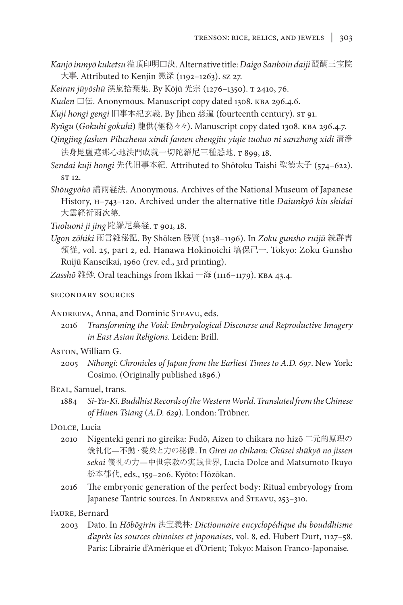- *Kanjō inmyō kuketsu*灌頂印明口決. Alternative title: *Daigo Sanbōin daiji*醍醐三宝院 大事. Attributed to Kenjin 憲深 (1192–1263). sz 27.
- *Keiran jūyōshū* 渓嵐拾葉集. By Kōjū 光宗 (1276–1350). t 2410, 76.
- *Kuden* 口伝. Anonymous. Manuscript copy dated 1308. kba 296.4.6.
- *Kuji hongi gengi* 旧事本紀玄義. By Jihen 慈遍 (fourteenth century). st 91.
- *Ryūgu* (*Gokuhi gokuhi*) 龍供(極秘々々). Manuscript copy dated 1308. kba 296.4.7.
- *Qingjing fashen Piluzhena xindi famen chengjiu yiqie tuoluo ni sanzhong xidi* 清浄 法身毘盧遮那心地法門成就一切陀羅尼三種悉地. t 899, 18.
- *Sendai kuji hongi* 先代旧事本紀. Attributed to Shōtoku Taishi 聖徳太子 (574–622). ST 12.
- *Shōugyōhō* 請雨経法. Anonymous. Archives of the National Museum of Japanese History, H–743–120. Archived under the alternative title *Daiunkyō kiu shidai* 大雲経祈雨次第.
- *Tuoluoni ji jing* 陀羅尼集経. t 901, 18.
- *Ugon zōhiki* 雨言雑秘記. By Shōken 勝賢 (1138–1196). In *Zoku gunsho ruijū* 続群書 類従, vol. 25, part 2, ed. Hanawa Hokinoichi 塙保己一. Tokyo: Zoku Gunsho Ruijū Kanseikai, 1960 (rev. ed., 3rd printing).
- *Zasshō* 雑鈔. Oral teachings from Ikkai 一海 (1116–1179). kba 43.4.

#### secondary sources

## ANDREEVA, Anna, and Dominic STEAVU, eds.

2016 *Transforming the Void: Embryological Discourse and Reproductive Imagery in East Asian Religions*. Leiden: Brill.

## Aston, William G.

2005 *Nihongi: Chronicles of Japan from the Earliest Times to A.D. 697*. New York: Cosimo. (Originally published 1896.)

#### Beal, Samuel, trans.

1884 *Si-Yu-Ki. Buddhist Records of the Western World. Translated from the Chinese of Hiuen Tsiang* (*A.D. 629*). London: Trübner.

## Dolce, Lucia

- 2010 Nigenteki genri no gireika: Fudō, Aizen to chikara no hizō 二元的原理の 儀礼化—不動・愛染と力の秘像. In *Girei no chikara: Chūsei shūkyō no jissen sekai* 儀礼の力—中世宗教の実践世界, Lucia Dolce and Matsumoto Ikuyo 松本郁代, eds., 159–206. Kyōto: Hōzōkan.
- 2016 The embryonic generation of the perfect body: Ritual embryology from Japanese Tantric sources. In ANDREEVA and STEAVU, 253-310.

#### Faure, Bernard

2003 Dato. In *Hōbōgirin* 法宝義林*: Dictionnaire encyclopédique du bouddhisme d'après les sources chinoises et japonaises*, vol. 8, ed. Hubert Durt, 1127–58. Paris: Librairie d'Amérique et d'Orient; Tokyo: Maison Franco-Japonaise.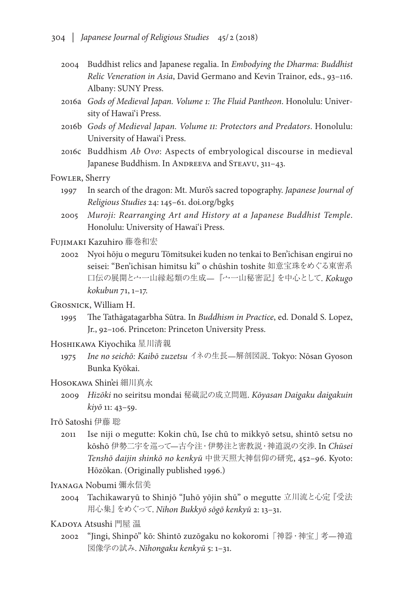- 2004 Buddhist relics and Japanese regalia. In *Embodying the Dharma: Buddhist Relic Veneration in Asia*, David Germano and Kevin Trainor, eds., 93–116. Albany: SUNY Press.
- 2016a *Gods of Medieval Japan. Volume 1: The Fluid Pantheon*. Honolulu: University of Hawai'i Press.
- 2016b *Gods of Medieval Japan. Volume II: Protectors and Predators*. Honolulu: University of Hawai'i Press.
- 2016c Buddhism *Ab Ovo*: Aspects of embryological discourse in medieval Japanese Buddhism. In ANDREEVA and STEAVU, 311-43.

Fowler, Sherry

- 1997 In search of the dragon: Mt. Murō's sacred topography. *Japanese Journal of Religious Studies* 24: 145–61. doi.org/bgk5
- 2005 *Muroji: Rearranging Art and History at a Japanese Buddhist Temple*. Honolulu: University of Hawai'i Press.

Fujimaki Kazuhiro 藤巻和宏

- 2002 Nyoi hōju o meguru Tōmitsukei kuden no tenkai to Ben'ichisan engirui no seisei: "Ben'ichisan himitsu ki" o chūshin toshite 如意宝珠をめぐる東密系 口伝の展開と宀一山縁起類の生成—『宀一山秘密記』を中心として. *Kokugo kokubun* 71, 1–17.
- Grosnick, William H.
	- 1995 The Tathāgatagarbha Sūtra. In *Buddhism in Practice*, ed. Donald S. Lopez, Jr., 92–106. Princeton: Princeton University Press.
- Hoshikawa Kiyochika 星川清親
	- 1975 *Ine no seichō: Kaibō zuzetsu* イネの生長—解剖図説. Tokyo: Nōsan Gyoson Bunka Kyōkai.

#### Hosokawa Shin'ei 細川真永

- 2009 *Hizōki* no seiritsu mondai 秘蔵記の成立問題. *Kōyasan Daigaku daigakuin kiyō* 11: 43–59.
- Itō Satoshi 伊藤 聡
	- 2011 Ise niji o megutte: Kokin chū, Ise chū to mikkyō setsu, shintō setsu no kōshō 伊勢二宇を巡って—古今注・伊勢注と密教説・神道説の交渉. In *Chūsei Tenshō daijin shinkō no kenkyū* 中世天照大神信仰の研究, 452–96. Kyoto: Hōzōkan. (Originally published 1996.)
- Iyanaga Nobumi 彌永信美
	- 2004 Tachikawaryū to Shinjō "Juhō yōjin shū" o megutte 立川流と心定『受法 用心集』をめぐって. *Nihon Bukkyō sōgō kenkyū* 2: 13–31.
- KADOYA Atsushi 門屋 温
	- 2002 "Jingi, Shinpō" kō: Shintō zuzōgaku no kokoromi「神器・神宝」考—神道 図像学の試み. *Nihongaku kenkyū* 5: 1–31.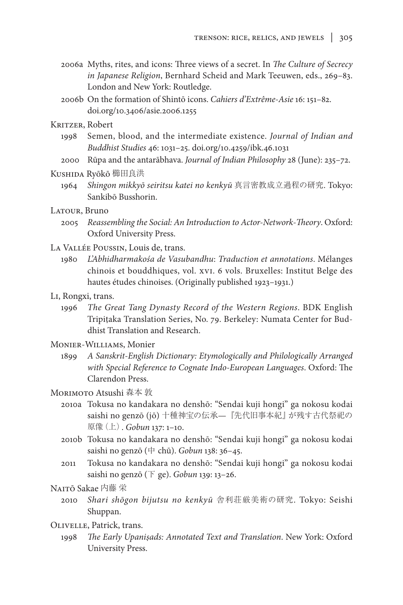- 2006a Myths, rites, and icons: Three views of a secret. In *The Culture of Secrecy in Japanese Religion*, Bernhard Scheid and Mark Teeuwen, eds., 269–83. London and New York: Routledge.
- 2006b On the formation of Shintō icons. *Cahiers d'Extrême-Asie* 16: 151–82. doi.org/10.3406/asie.2006.1255
- Kritzer, Robert
	- 1998 Semen, blood, and the intermediate existence. *Journal of Indian and Buddhist Studies* 46: 1031–25. doi.org/10.4259/ibk.46.1031
	- 2000 Rūpa and the antarābhava. *Journal of Indian Philosophy* 28 (June): 235–72.
- Kushida Ryōkō 櫛田良洪
	- 1964 *Shingon mikkyō seiritsu katei no kenkyū* 真言密教成立過程の研究. Tokyo: Sankibō Busshorin.
- Latour, Bruno
	- 2005 *Reassembling the Social: An Introduction to Actor-Network-Theory*. Oxford: Oxford University Press.
- La Vallée Poussin, Louis de, trans.
	- 1980 *L'Abhidharmakośa de Vasubandhu*: *Traduction et annotations*. Mélanges chinois et bouddhiques, vol. XVI. 6 vols. Bruxelles: Institut Belge des hautes études chinoises. (Originally published 1923–1931.)
- Li, Rongxi, trans.
	- 1996 *The Great Tang Dynasty Record of the Western Regions*. BDK English Tripiṭaka Translation Series, No. 79. Berkeley: Numata Center for Buddhist Translation and Research.
- Monier-Williams, Monier
	- 1899 *A Sanskrit-English Dictionary: Etymologically and Philologically Arranged with Special Reference to Cognate Indo-European Languages*. Oxford: The Clarendon Press.
- Morimoto Atsushi 森本 敦
	- 2010a Tokusa no kandakara no denshō: "Sendai kuji hongi" ga nokosu kodai saishi no genzō (jō) 十種神宝の伝承—『先代旧事本紀』が残す古代祭祀の 原像(上). *Gobun* 137: 1–10.
	- 2010b Tokusa no kandakara no denshō: "Sendai kuji hongi" ga nokosu kodai saishi no genzō (中 chū). *Gobun* 138: 36–45.
	- 2011 Tokusa no kandakara no denshō: "Sendai kuji hongi" ga nokosu kodai saishi no genzō (下 ge). *Gobun* 139: 13–26.
- Naitō Sakae 内藤 栄
	- 2010 *Shari shōgon bijutsu no kenkyū* 舎利荘厳美術の研究. Tokyo: Seishi Shuppan.
- Olivelle, Patrick, trans.
	- 1998 *The Early Upaniṣads: Annotated Text and Translation*. New York: Oxford University Press.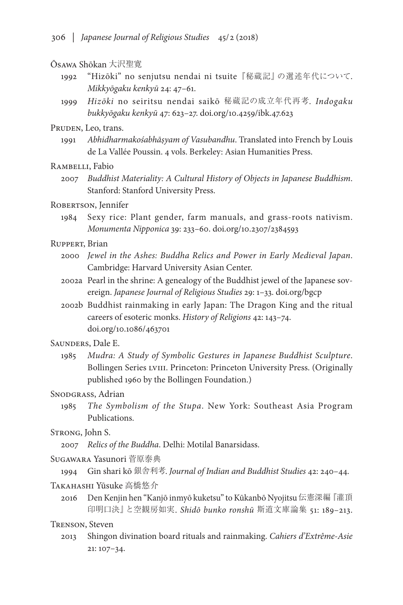#### Ōsawa Shōkan 大沢聖寛

- 1992 "Hizōki" no senjutsu nendai ni tsuite『秘蔵記』の選述年代について. *Mikkyōgaku kenkyū* 24: 47–61.
- 1999 *Hizōki* no seiritsu nendai saikō 秘蔵記の成立年代再考. *Indogaku bukkyōgaku kenkyū* 47: 623–27. doi.org/10.4259/ibk.47.623

## PRUDEN, Leo, trans.

1991 *Abhidharmakośabhāṣyam of Vasubandhu*. Translated into French by Louis de La Vallée Poussin. 4 vols. Berkeley: Asian Humanities Press.

RAMBELLI, Fabio

2007 *Buddhist Materiality: A Cultural History of Objects in Japanese Buddhism*. Stanford: Stanford University Press.

## ROBERTSON, Jennifer

1984 Sexy rice: Plant gender, farm manuals, and grass-roots nativism. *Monumenta Nipponica* 39: 233–60. doi.org/10.2307/2384593

#### Ruppert, Brian

- 2000 *Jewel in the Ashes: Buddha Relics and Power in Early Medieval Japan*. Cambridge: Harvard University Asian Center.
- 2002a Pearl in the shrine: A genealogy of the Buddhist jewel of the Japanese sovereign. *Japanese Journal of Religious Studies* 29: 1–33. doi.org/bgcp
- 2002b Buddhist rainmaking in early Japan: The Dragon King and the ritual careers of esoteric monks. *History of Religions* 42: 143–74. doi.org/10.1086/463701

## SAUNDERS, Dale E.

1985 *Mudra: A Study of Symbolic Gestures in Japanese Buddhist Sculpture*. Bollingen Series LVIII. Princeton: Princeton University Press. (Originally published 1960 by the Bollingen Foundation.)

#### SNODGRASS, Adrian

1985 *The Symbolism of the Stupa*. New York: Southeast Asia Program Publications.

## Strong, John S.

2007 *Relics of the Buddha*. Delhi: Motilal Banarsidass.

#### Sugawara Yasunori 菅原泰典

1994 Gin shari kō 銀舎利考. *Journal of Indian and Buddhist Studies* 42: 240–44.

#### Takahashi Yūsuke 高橋悠介

2016 Den Kenjin hen "Kanjō inmyō kuketsu" to Kūkanbō Nyojitsu 伝憲深編『灌頂 印明口決』と空観房如実. *Shidō bunko ronshū* 斯道文庫論集 51: 189–213.

## Trenson, Steven

2013 Shingon divination board rituals and rainmaking. *Cahiers d'Extrême-Asie* 21: 107–34.